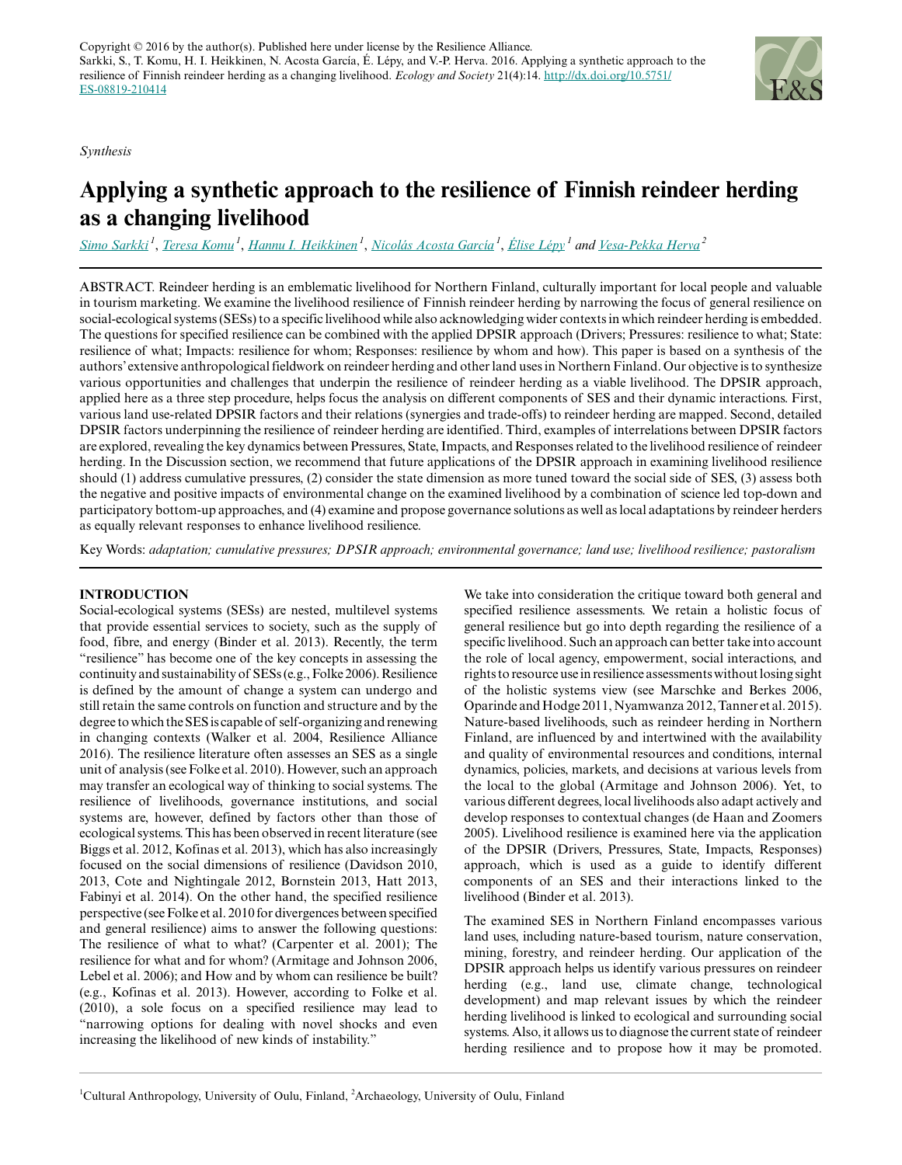*Synthesis*



# **Applying a synthetic approach to the resilience of Finnish reindeer herding as a changing livelihood**

*[Simo Sarkki](mailto:simo.sarkki@oulu.fi)<sup>1</sup>* , *[Teresa Komu](mailto:Teresa.komu@oulu.fi)<sup>1</sup>* , *[Hannu I. Heikkinen](mailto:hannu.i.heikkinen@oulu.fi)<sup>1</sup>* , *[Nicolás Acosta García](mailto:Nicolas.AcostaGarcia@oulu.fi)<sup>1</sup>* , *[Élise Lépy](mailto:Elise.Lepy@oulu.fi)<sup>1</sup> and [Vesa-Pekka Herva](mailto:vesa-pekka.herva@oulu.fi)<sup>2</sup>*

ABSTRACT. Reindeer herding is an emblematic livelihood for Northern Finland, culturally important for local people and valuable in tourism marketing. We examine the livelihood resilience of Finnish reindeer herding by narrowing the focus of general resilience on social-ecological systems (SESs) to a specific livelihood while also acknowledging wider contexts in which reindeer herding is embedded. The questions for specified resilience can be combined with the applied DPSIR approach (Drivers; Pressures: resilience to what; State: resilience of what; Impacts: resilience for whom; Responses: resilience by whom and how). This paper is based on a synthesis of the authors' extensive anthropological fieldwork on reindeer herding and other land uses in Northern Finland. Our objective is to synthesize various opportunities and challenges that underpin the resilience of reindeer herding as a viable livelihood. The DPSIR approach, applied here as a three step procedure, helps focus the analysis on different components of SES and their dynamic interactions. First, various land use-related DPSIR factors and their relations (synergies and trade-offs) to reindeer herding are mapped. Second, detailed DPSIR factors underpinning the resilience of reindeer herding are identified. Third, examples of interrelations between DPSIR factors are explored, revealing the key dynamics between Pressures, State, Impacts, and Responses related to the livelihood resilience of reindeer herding. In the Discussion section, we recommend that future applications of the DPSIR approach in examining livelihood resilience should (1) address cumulative pressures, (2) consider the state dimension as more tuned toward the social side of SES, (3) assess both the negative and positive impacts of environmental change on the examined livelihood by a combination of science led top-down and participatory bottom-up approaches, and (4) examine and propose governance solutions as well as local adaptations by reindeer herders as equally relevant responses to enhance livelihood resilience.

Key Words: *adaptation; cumulative pressures; DPSIR approach; environmental governance; land use; livelihood resilience; pastoralism*

# **INTRODUCTION**

Social-ecological systems (SESs) are nested, multilevel systems that provide essential services to society, such as the supply of food, fibre, and energy (Binder et al. 2013). Recently, the term "resilience" has become one of the key concepts in assessing the continuity and sustainability of SESs (e.g., Folke 2006). Resilience is defined by the amount of change a system can undergo and still retain the same controls on function and structure and by the degree to which the SES is capable of self-organizing and renewing in changing contexts (Walker et al. 2004, Resilience Alliance 2016). The resilience literature often assesses an SES as a single unit of analysis (see Folke et al. 2010). However, such an approach may transfer an ecological way of thinking to social systems. The resilience of livelihoods, governance institutions, and social systems are, however, defined by factors other than those of ecological systems. This has been observed in recent literature (see Biggs et al. 2012, Kofinas et al. 2013), which has also increasingly focused on the social dimensions of resilience (Davidson 2010, 2013, Cote and Nightingale 2012, Bornstein 2013, Hatt 2013, Fabinyi et al. 2014). On the other hand, the specified resilience perspective (see Folke et al. 2010 for divergences between specified and general resilience) aims to answer the following questions: The resilience of what to what? (Carpenter et al. 2001); The resilience for what and for whom? (Armitage and Johnson 2006, Lebel et al. 2006); and How and by whom can resilience be built? (e.g., Kofinas et al. 2013). However, according to Folke et al. (2010), a sole focus on a specified resilience may lead to "narrowing options for dealing with novel shocks and even increasing the likelihood of new kinds of instability."

We take into consideration the critique toward both general and specified resilience assessments. We retain a holistic focus of general resilience but go into depth regarding the resilience of a specific livelihood. Such an approach can better take into account the role of local agency, empowerment, social interactions, and rights to resource use in resilience assessments without losing sight of the holistic systems view (see Marschke and Berkes 2006, Oparinde and Hodge 2011, Nyamwanza 2012, Tanner et al. 2015). Nature-based livelihoods, such as reindeer herding in Northern Finland, are influenced by and intertwined with the availability and quality of environmental resources and conditions, internal dynamics, policies, markets, and decisions at various levels from the local to the global (Armitage and Johnson 2006). Yet, to various different degrees, local livelihoods also adapt actively and develop responses to contextual changes (de Haan and Zoomers 2005). Livelihood resilience is examined here via the application of the DPSIR (Drivers, Pressures, State, Impacts, Responses) approach, which is used as a guide to identify different components of an SES and their interactions linked to the livelihood (Binder et al. 2013).

The examined SES in Northern Finland encompasses various land uses, including nature-based tourism, nature conservation, mining, forestry, and reindeer herding. Our application of the DPSIR approach helps us identify various pressures on reindeer herding (e.g., land use, climate change, technological development) and map relevant issues by which the reindeer herding livelihood is linked to ecological and surrounding social systems. Also, it allows us to diagnose the current state of reindeer herding resilience and to propose how it may be promoted.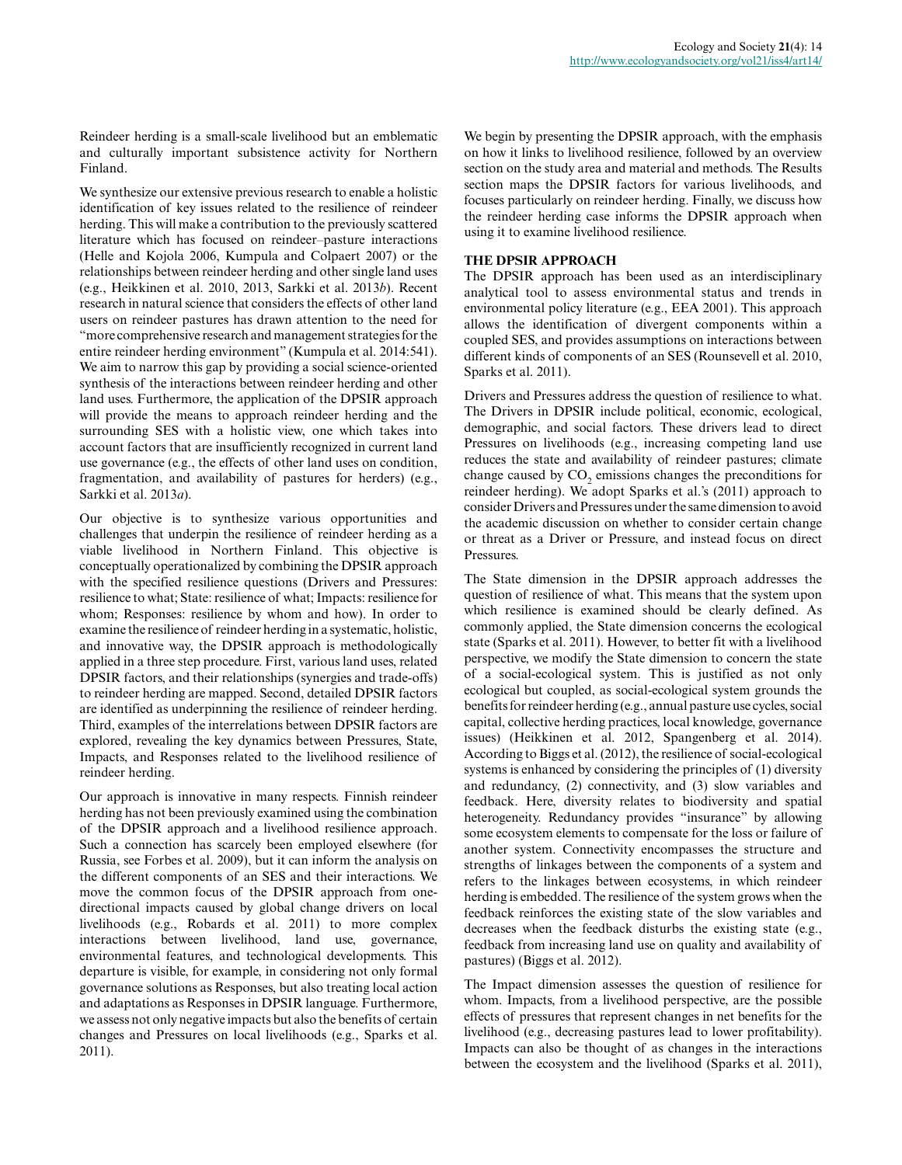Reindeer herding is a small-scale livelihood but an emblematic and culturally important subsistence activity for Northern Finland.

We synthesize our extensive previous research to enable a holistic identification of key issues related to the resilience of reindeer herding. This will make a contribution to the previously scattered literature which has focused on reindeer–pasture interactions (Helle and Kojola 2006, Kumpula and Colpaert 2007) or the relationships between reindeer herding and other single land uses (e.g., Heikkinen et al. 2010, 2013, Sarkki et al. 2013*b*). Recent research in natural science that considers the effects of other land users on reindeer pastures has drawn attention to the need for "more comprehensive research and management strategies for the entire reindeer herding environment" (Kumpula et al. 2014:541). We aim to narrow this gap by providing a social science-oriented synthesis of the interactions between reindeer herding and other land uses. Furthermore, the application of the DPSIR approach will provide the means to approach reindeer herding and the surrounding SES with a holistic view, one which takes into account factors that are insufficiently recognized in current land use governance (e.g., the effects of other land uses on condition, fragmentation, and availability of pastures for herders) (e.g., Sarkki et al. 2013*a*).

Our objective is to synthesize various opportunities and challenges that underpin the resilience of reindeer herding as a viable livelihood in Northern Finland. This objective is conceptually operationalized by combining the DPSIR approach with the specified resilience questions (Drivers and Pressures: resilience to what; State: resilience of what; Impacts: resilience for whom; Responses: resilience by whom and how). In order to examine the resilience of reindeer herding in a systematic, holistic, and innovative way, the DPSIR approach is methodologically applied in a three step procedure. First, various land uses, related DPSIR factors, and their relationships (synergies and trade-offs) to reindeer herding are mapped. Second, detailed DPSIR factors are identified as underpinning the resilience of reindeer herding. Third, examples of the interrelations between DPSIR factors are explored, revealing the key dynamics between Pressures, State, Impacts, and Responses related to the livelihood resilience of reindeer herding.

Our approach is innovative in many respects. Finnish reindeer herding has not been previously examined using the combination of the DPSIR approach and a livelihood resilience approach. Such a connection has scarcely been employed elsewhere (for Russia, see Forbes et al. 2009), but it can inform the analysis on the different components of an SES and their interactions. We move the common focus of the DPSIR approach from onedirectional impacts caused by global change drivers on local livelihoods (e.g., Robards et al. 2011) to more complex interactions between livelihood, land use, governance, environmental features, and technological developments. This departure is visible, for example, in considering not only formal governance solutions as Responses, but also treating local action and adaptations as Responses in DPSIR language. Furthermore, we assess not only negative impacts but also the benefits of certain changes and Pressures on local livelihoods (e.g., Sparks et al. 2011).

We begin by presenting the DPSIR approach, with the emphasis on how it links to livelihood resilience, followed by an overview section on the study area and material and methods. The Results section maps the DPSIR factors for various livelihoods, and focuses particularly on reindeer herding. Finally, we discuss how the reindeer herding case informs the DPSIR approach when using it to examine livelihood resilience.

#### **THE DPSIR APPROACH**

The DPSIR approach has been used as an interdisciplinary analytical tool to assess environmental status and trends in environmental policy literature (e.g., EEA 2001). This approach allows the identification of divergent components within a coupled SES, and provides assumptions on interactions between different kinds of components of an SES (Rounsevell et al. 2010, Sparks et al. 2011).

Drivers and Pressures address the question of resilience to what. The Drivers in DPSIR include political, economic, ecological, demographic, and social factors. These drivers lead to direct Pressures on livelihoods (e.g., increasing competing land use reduces the state and availability of reindeer pastures; climate change caused by  $CO_2$  emissions changes the preconditions for reindeer herding). We adopt Sparks et al.'s (2011) approach to consider Drivers and Pressures under the same dimension to avoid the academic discussion on whether to consider certain change or threat as a Driver or Pressure, and instead focus on direct Pressures.

The State dimension in the DPSIR approach addresses the question of resilience of what. This means that the system upon which resilience is examined should be clearly defined. As commonly applied, the State dimension concerns the ecological state (Sparks et al. 2011). However, to better fit with a livelihood perspective, we modify the State dimension to concern the state of a social-ecological system. This is justified as not only ecological but coupled, as social-ecological system grounds the benefits for reindeer herding (e.g., annual pasture use cycles, social capital, collective herding practices, local knowledge, governance issues) (Heikkinen et al. 2012, Spangenberg et al. 2014). According to Biggs et al. (2012), the resilience of social-ecological systems is enhanced by considering the principles of (1) diversity and redundancy, (2) connectivity, and (3) slow variables and feedback. Here, diversity relates to biodiversity and spatial heterogeneity. Redundancy provides "insurance" by allowing some ecosystem elements to compensate for the loss or failure of another system. Connectivity encompasses the structure and strengths of linkages between the components of a system and refers to the linkages between ecosystems, in which reindeer herding is embedded. The resilience of the system grows when the feedback reinforces the existing state of the slow variables and decreases when the feedback disturbs the existing state (e.g., feedback from increasing land use on quality and availability of pastures) (Biggs et al. 2012).

The Impact dimension assesses the question of resilience for whom. Impacts, from a livelihood perspective, are the possible effects of pressures that represent changes in net benefits for the livelihood (e.g., decreasing pastures lead to lower profitability). Impacts can also be thought of as changes in the interactions between the ecosystem and the livelihood (Sparks et al. 2011),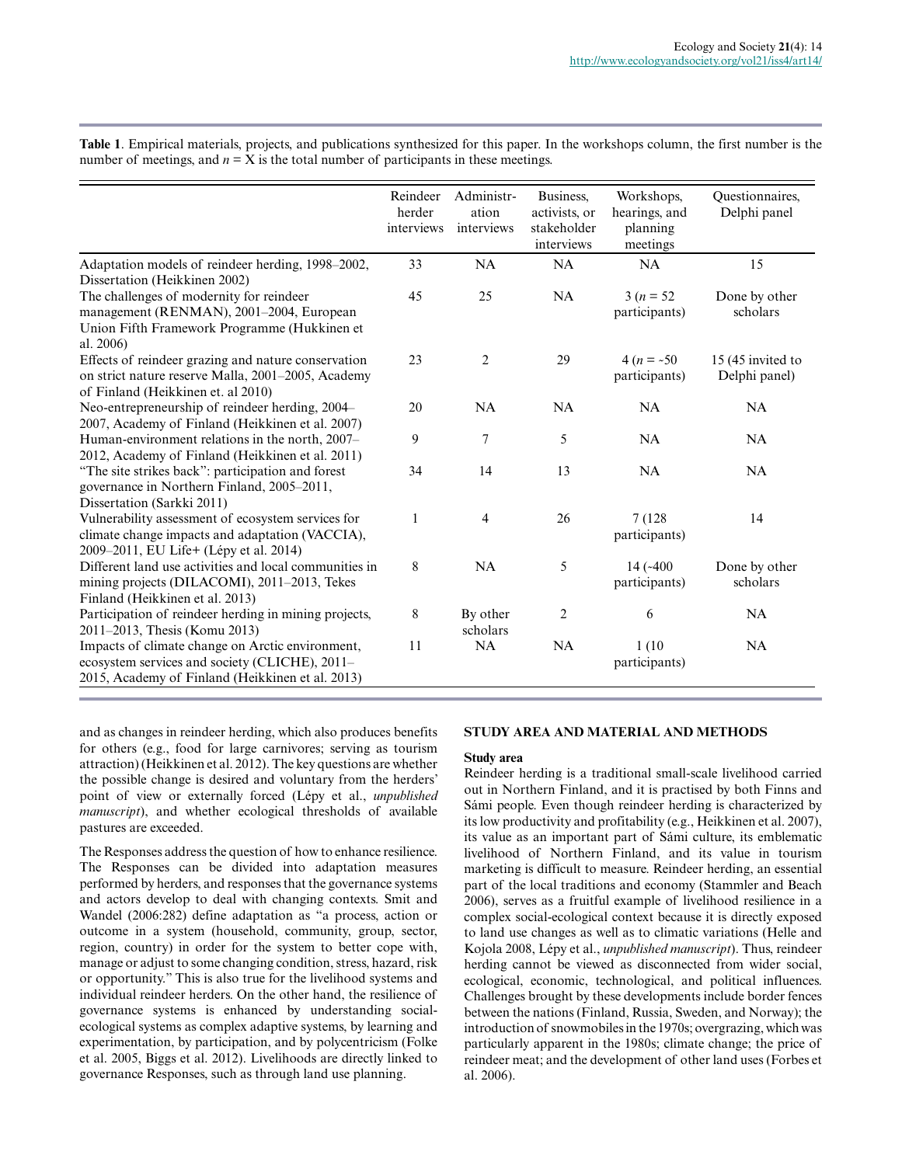Reindeer herder interviews Administration interviews Business, activists, or stakeholder interviews Workshops, hearings, and planning meetings Questionnaires, Delphi panel Adaptation models of reindeer herding, 1998–2002, Dissertation (Heikkinen 2002) 33 NA NA NA 15 The challenges of modernity for reindeer management (RENMAN), 2001–2004, European Union Fifth Framework Programme (Hukkinen et al. 2006) 45 25 NA 3 (*n* = 52 participants) Done by other scholars Effects of reindeer grazing and nature conservation on strict nature reserve Malla, 2001–2005, Academy of Finland (Heikkinen et. al 2010) 23 2 29 4 (*n* = ∼50 participants) 15 (45 invited to Delphi panel) Neo-entrepreneurship of reindeer herding, 2004– 2007, Academy of Finland (Heikkinen et al. 2007) 20 NA NA NA NA Human-environment relations in the north, 2007– 2012, Academy of Finland (Heikkinen et al. 2011) 9 7 5 NA NA "The site strikes back": participation and forest governance in Northern Finland, 2005–2011, Dissertation (Sarkki 2011) 34 14 13 NA NA Vulnerability assessment of ecosystem services for climate change impacts and adaptation (VACCIA), 2009–2011, EU Life+ (Lépy et al. 2014) 1 4 26 7 (128 participants) 14 Different land use activities and local communities in mining projects (DILACOMI), 2011–2013, Tekes Finland (Heikkinen et al. 2013) 8 NA 5 14 (∼400 participants) Done by other scholars Participation of reindeer herding in mining projects, 2011–2013, Thesis (Komu 2013) 8 By other scholars<br>NA 2 6 NA Impacts of climate change on Arctic environment, ecosystem services and society (CLICHE), 2011– 2015, Academy of Finland (Heikkinen et al. 2013) 11 NA NA 1 (10 participants) NA

**Table 1**. Empirical materials, projects, and publications synthesized for this paper. In the workshops column, the first number is the number of meetings, and  $n = X$  is the total number of participants in these meetings.

and as changes in reindeer herding, which also produces benefits for others (e.g., food for large carnivores; serving as tourism attraction) (Heikkinen et al. 2012). The key questions are whether the possible change is desired and voluntary from the herders' point of view or externally forced (Lépy et al., *unpublished manuscript*), and whether ecological thresholds of available pastures are exceeded.

The Responses address the question of how to enhance resilience. The Responses can be divided into adaptation measures performed by herders, and responses that the governance systems and actors develop to deal with changing contexts. Smit and Wandel (2006:282) define adaptation as "a process, action or outcome in a system (household, community, group, sector, region, country) in order for the system to better cope with, manage or adjust to some changing condition, stress, hazard, risk or opportunity." This is also true for the livelihood systems and individual reindeer herders. On the other hand, the resilience of governance systems is enhanced by understanding socialecological systems as complex adaptive systems, by learning and experimentation, by participation, and by polycentricism (Folke et al. 2005, Biggs et al. 2012). Livelihoods are directly linked to governance Responses, such as through land use planning.

# **STUDY AREA AND MATERIAL AND METHODS**

#### **Study area**

Reindeer herding is a traditional small-scale livelihood carried out in Northern Finland, and it is practised by both Finns and Sámi people. Even though reindeer herding is characterized by its low productivity and profitability (e.g., Heikkinen et al. 2007), its value as an important part of Sámi culture, its emblematic livelihood of Northern Finland, and its value in tourism marketing is difficult to measure. Reindeer herding, an essential part of the local traditions and economy (Stammler and Beach 2006), serves as a fruitful example of livelihood resilience in a complex social-ecological context because it is directly exposed to land use changes as well as to climatic variations (Helle and Kojola 2008, Lépy et al., *unpublished manuscript*). Thus, reindeer herding cannot be viewed as disconnected from wider social, ecological, economic, technological, and political influences. Challenges brought by these developments include border fences between the nations (Finland, Russia, Sweden, and Norway); the introduction of snowmobiles in the 1970s; overgrazing, which was particularly apparent in the 1980s; climate change; the price of reindeer meat; and the development of other land uses (Forbes et al. 2006).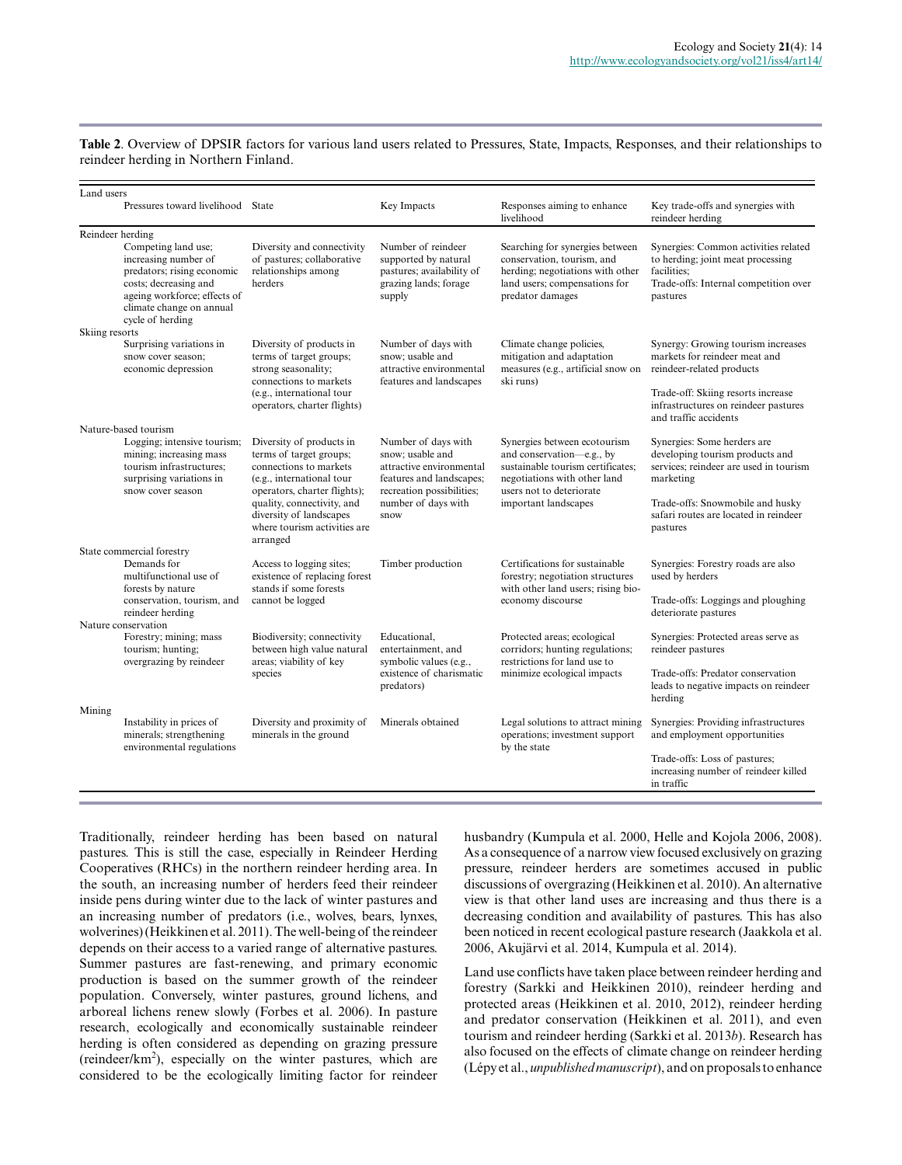**Table 2**. Overview of DPSIR factors for various land users related to Pressures, State, Impacts, Responses, and their relationships to reindeer herding in Northern Finland.

| Land users          |                                                                                                                                                                                    |                                                                                                                                                                                                                                     |                                                                                                                                                             |                                                                                                                                                                                    |                                                                                                                                                                                                                |  |
|---------------------|------------------------------------------------------------------------------------------------------------------------------------------------------------------------------------|-------------------------------------------------------------------------------------------------------------------------------------------------------------------------------------------------------------------------------------|-------------------------------------------------------------------------------------------------------------------------------------------------------------|------------------------------------------------------------------------------------------------------------------------------------------------------------------------------------|----------------------------------------------------------------------------------------------------------------------------------------------------------------------------------------------------------------|--|
|                     | Pressures toward livelihood State                                                                                                                                                  |                                                                                                                                                                                                                                     | Key Impacts                                                                                                                                                 | Responses aiming to enhance<br>livelihood                                                                                                                                          | Key trade-offs and synergies with<br>reindeer herding                                                                                                                                                          |  |
| Reindeer herding    |                                                                                                                                                                                    |                                                                                                                                                                                                                                     |                                                                                                                                                             |                                                                                                                                                                                    |                                                                                                                                                                                                                |  |
|                     | Competing land use;<br>increasing number of<br>predators; rising economic<br>costs; decreasing and<br>ageing workforce; effects of<br>climate change on annual<br>cycle of herding | Diversity and connectivity<br>of pastures; collaborative<br>relationships among<br>herders                                                                                                                                          | Number of reindeer<br>supported by natural<br>pastures; availability of<br>grazing lands; forage<br>supply                                                  | Searching for synergies between<br>conservation, tourism, and<br>herding; negotiations with other<br>land users; compensations for<br>predator damages                             | Synergies: Common activities related<br>to herding; joint meat processing<br>facilities:<br>Trade-offs: Internal competition over<br>pastures                                                                  |  |
| Skiing resorts      |                                                                                                                                                                                    |                                                                                                                                                                                                                                     |                                                                                                                                                             |                                                                                                                                                                                    |                                                                                                                                                                                                                |  |
|                     | Surprising variations in<br>snow cover season;<br>economic depression                                                                                                              | Diversity of products in<br>terms of target groups;<br>strong seasonality;<br>connections to markets<br>(e.g., international tour<br>operators, charter flights)                                                                    | Number of days with<br>snow: usable and<br>attractive environmental<br>features and landscapes                                                              | Climate change policies,<br>mitigation and adaptation<br>measures (e.g., artificial snow on<br>ski runs)                                                                           | Synergy: Growing tourism increases<br>markets for reindeer meat and<br>reindeer-related products                                                                                                               |  |
|                     |                                                                                                                                                                                    |                                                                                                                                                                                                                                     |                                                                                                                                                             |                                                                                                                                                                                    | Trade-off: Skiing resorts increase<br>infrastructures on reindeer pastures<br>and traffic accidents                                                                                                            |  |
|                     | Nature-based tourism                                                                                                                                                               |                                                                                                                                                                                                                                     |                                                                                                                                                             |                                                                                                                                                                                    |                                                                                                                                                                                                                |  |
|                     | Logging; intensive tourism;<br>mining; increasing mass<br>tourism infrastructures;<br>surprising variations in<br>snow cover season                                                | Diversity of products in<br>terms of target groups;<br>connections to markets<br>(e.g., international tour<br>operators, charter flights);<br>quality, connectivity, and<br>diversity of landscapes<br>where tourism activities are | Number of days with<br>snow; usable and<br>attractive environmental<br>features and landscapes;<br>recreation possibilities;<br>number of days with<br>snow | Synergies between ecotourism<br>and conservation-e.g., by<br>sustainable tourism certificates;<br>negotiations with other land<br>users not to deteriorate<br>important landscapes | Synergies: Some herders are<br>developing tourism products and<br>services; reindeer are used in tourism<br>marketing<br>Trade-offs: Snowmobile and husky<br>safari routes are located in reindeer<br>pastures |  |
|                     |                                                                                                                                                                                    | arranged                                                                                                                                                                                                                            |                                                                                                                                                             |                                                                                                                                                                                    |                                                                                                                                                                                                                |  |
|                     | State commercial forestry                                                                                                                                                          |                                                                                                                                                                                                                                     |                                                                                                                                                             |                                                                                                                                                                                    |                                                                                                                                                                                                                |  |
|                     | Demands for<br>multifunctional use of<br>forests by nature                                                                                                                         | Access to logging sites;<br>existence of replacing forest<br>stands if some forests                                                                                                                                                 | Timber production                                                                                                                                           | Certifications for sustainable<br>forestry; negotiation structures<br>with other land users; rising bio-                                                                           | Synergies: Forestry roads are also<br>used by herders                                                                                                                                                          |  |
|                     | conservation, tourism, and<br>reindeer herding                                                                                                                                     | cannot be logged                                                                                                                                                                                                                    |                                                                                                                                                             | economy discourse                                                                                                                                                                  | Trade-offs: Loggings and ploughing<br>deteriorate pastures                                                                                                                                                     |  |
| Nature conservation |                                                                                                                                                                                    |                                                                                                                                                                                                                                     |                                                                                                                                                             |                                                                                                                                                                                    |                                                                                                                                                                                                                |  |
|                     | Forestry; mining; mass<br>tourism; hunting;<br>overgrazing by reindeer                                                                                                             | Biodiversity; connectivity<br>between high value natural<br>areas; viability of key                                                                                                                                                 | Educational,<br>entertainment, and<br>symbolic values (e.g.,                                                                                                | Protected areas; ecological<br>corridors; hunting regulations;<br>restrictions for land use to<br>minimize ecological impacts                                                      | Synergies: Protected areas serve as<br>reindeer pastures                                                                                                                                                       |  |
|                     |                                                                                                                                                                                    | species                                                                                                                                                                                                                             | existence of charismatic<br>predators)                                                                                                                      |                                                                                                                                                                                    | Trade-offs: Predator conservation<br>leads to negative impacts on reindeer<br>herding                                                                                                                          |  |
| Mining              |                                                                                                                                                                                    |                                                                                                                                                                                                                                     |                                                                                                                                                             |                                                                                                                                                                                    |                                                                                                                                                                                                                |  |
|                     | Instability in prices of<br>minerals; strengthening<br>environmental regulations                                                                                                   | Diversity and proximity of<br>minerals in the ground                                                                                                                                                                                | Minerals obtained                                                                                                                                           | Legal solutions to attract mining<br>operations; investment support<br>by the state                                                                                                | Synergies: Providing infrastructures<br>and employment opportunities                                                                                                                                           |  |
|                     |                                                                                                                                                                                    |                                                                                                                                                                                                                                     |                                                                                                                                                             |                                                                                                                                                                                    | Trade-offs: Loss of pastures;<br>increasing number of reindeer killed<br>in traffic                                                                                                                            |  |

Traditionally, reindeer herding has been based on natural pastures. This is still the case, especially in Reindeer Herding Cooperatives (RHCs) in the northern reindeer herding area. In the south, an increasing number of herders feed their reindeer inside pens during winter due to the lack of winter pastures and an increasing number of predators (i.e., wolves, bears, lynxes, wolverines) (Heikkinen et al. 2011). The well-being of the reindeer depends on their access to a varied range of alternative pastures. Summer pastures are fast-renewing, and primary economic production is based on the summer growth of the reindeer population. Conversely, winter pastures, ground lichens, and arboreal lichens renew slowly (Forbes et al. 2006). In pasture research, ecologically and economically sustainable reindeer herding is often considered as depending on grazing pressure (reindeer/ $km<sup>2</sup>$ ), especially on the winter pastures, which are considered to be the ecologically limiting factor for reindeer husbandry (Kumpula et al. 2000, Helle and Kojola 2006, 2008). As a consequence of a narrow view focused exclusively on grazing pressure, reindeer herders are sometimes accused in public discussions of overgrazing (Heikkinen et al. 2010). An alternative view is that other land uses are increasing and thus there is a decreasing condition and availability of pastures. This has also been noticed in recent ecological pasture research (Jaakkola et al. 2006, Akujärvi et al. 2014, Kumpula et al. 2014).

Land use conflicts have taken place between reindeer herding and forestry (Sarkki and Heikkinen 2010), reindeer herding and protected areas (Heikkinen et al. 2010, 2012), reindeer herding and predator conservation (Heikkinen et al. 2011), and even tourism and reindeer herding (Sarkki et al. 2013*b*). Research has also focused on the effects of climate change on reindeer herding (Lépy et al., *unpublished manuscript*), and on proposals to enhance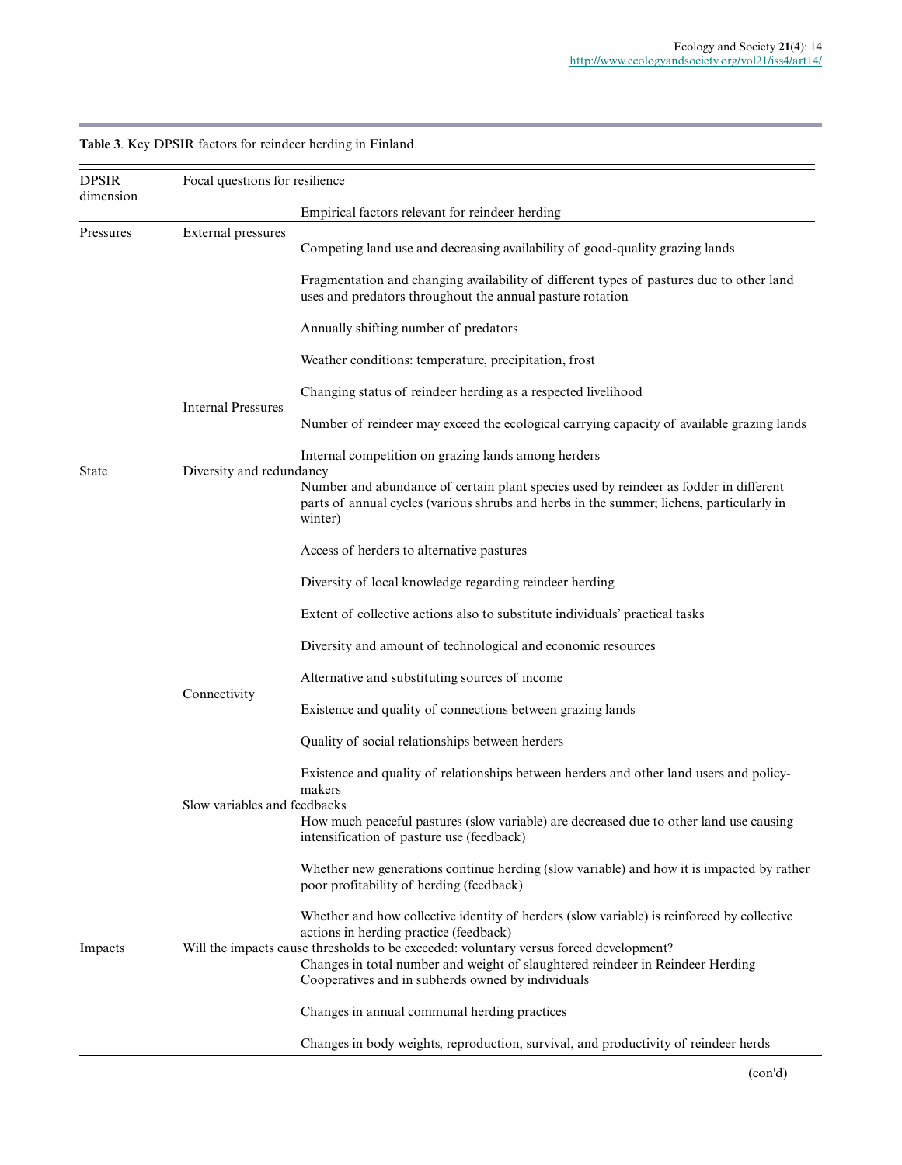| <b>DPSIR</b> | Focal questions for resilience |                                                                                                                                                                                                                                                                                                                                                                       |  |  |
|--------------|--------------------------------|-----------------------------------------------------------------------------------------------------------------------------------------------------------------------------------------------------------------------------------------------------------------------------------------------------------------------------------------------------------------------|--|--|
| dimension    |                                | Empirical factors relevant for reindeer herding                                                                                                                                                                                                                                                                                                                       |  |  |
| Pressures    | <b>External pressures</b>      | Competing land use and decreasing availability of good-quality grazing lands                                                                                                                                                                                                                                                                                          |  |  |
|              |                                | Fragmentation and changing availability of different types of pastures due to other land<br>uses and predators throughout the annual pasture rotation                                                                                                                                                                                                                 |  |  |
|              |                                | Annually shifting number of predators                                                                                                                                                                                                                                                                                                                                 |  |  |
|              |                                | Weather conditions: temperature, precipitation, frost                                                                                                                                                                                                                                                                                                                 |  |  |
|              | <b>Internal Pressures</b>      | Changing status of reindeer herding as a respected livelihood                                                                                                                                                                                                                                                                                                         |  |  |
|              |                                | Number of reindeer may exceed the ecological carrying capacity of available grazing lands                                                                                                                                                                                                                                                                             |  |  |
|              |                                | Internal competition on grazing lands among herders                                                                                                                                                                                                                                                                                                                   |  |  |
| State        | Diversity and redundancy       | Number and abundance of certain plant species used by reindeer as fodder in different<br>parts of annual cycles (various shrubs and herbs in the summer; lichens, particularly in<br>winter)                                                                                                                                                                          |  |  |
|              |                                | Access of herders to alternative pastures                                                                                                                                                                                                                                                                                                                             |  |  |
|              |                                | Diversity of local knowledge regarding reindeer herding                                                                                                                                                                                                                                                                                                               |  |  |
|              |                                | Extent of collective actions also to substitute individuals' practical tasks                                                                                                                                                                                                                                                                                          |  |  |
|              |                                | Diversity and amount of technological and economic resources                                                                                                                                                                                                                                                                                                          |  |  |
|              | Connectivity                   | Alternative and substituting sources of income                                                                                                                                                                                                                                                                                                                        |  |  |
|              |                                | Existence and quality of connections between grazing lands                                                                                                                                                                                                                                                                                                            |  |  |
|              |                                | Quality of social relationships between herders                                                                                                                                                                                                                                                                                                                       |  |  |
|              |                                | Existence and quality of relationships between herders and other land users and policy-<br>makers                                                                                                                                                                                                                                                                     |  |  |
|              | Slow variables and feedbacks   | How much peaceful pastures (slow variable) are decreased due to other land use causing<br>intensification of pasture use (feedback)                                                                                                                                                                                                                                   |  |  |
|              |                                | Whether new generations continue herding (slow variable) and how it is impacted by rather<br>poor profitability of herding (feedback)                                                                                                                                                                                                                                 |  |  |
| Impacts      |                                | Whether and how collective identity of herders (slow variable) is reinforced by collective<br>actions in herding practice (feedback)<br>Will the impacts cause thresholds to be exceeded: voluntary versus forced development?<br>Changes in total number and weight of slaughtered reindeer in Reindeer Herding<br>Cooperatives and in subherds owned by individuals |  |  |
|              |                                | Changes in annual communal herding practices                                                                                                                                                                                                                                                                                                                          |  |  |
|              |                                | Changes in body weights, reproduction, survival, and productivity of reindeer herds                                                                                                                                                                                                                                                                                   |  |  |

# **Table 3**. Key DPSIR factors for reindeer herding in Finland.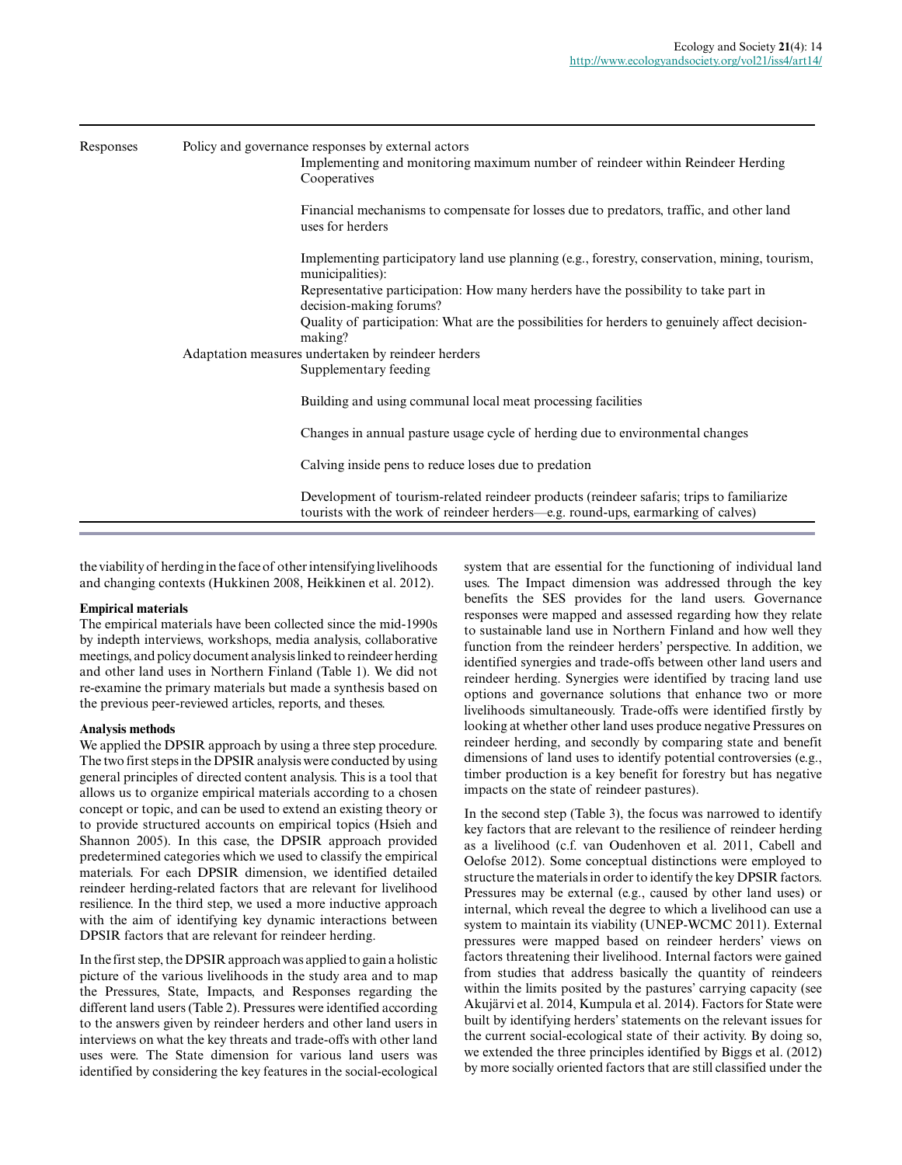| Responses | Policy and governance responses by external actors<br>Implementing and monitoring maximum number of reindeer within Reindeer Herding<br>Cooperatives                         |
|-----------|------------------------------------------------------------------------------------------------------------------------------------------------------------------------------|
|           | Financial mechanisms to compensate for losses due to predators, traffic, and other land<br>uses for herders                                                                  |
|           | Implementing participatory land use planning (e.g., forestry, conservation, mining, tourism,<br>municipalities):                                                             |
|           | Representative participation: How many herders have the possibility to take part in<br>decision-making forums?                                                               |
|           | Quality of participation: What are the possibilities for herders to genuinely affect decision-<br>making?                                                                    |
|           | Adaptation measures undertaken by reindeer herders                                                                                                                           |
|           | Supplementary feeding                                                                                                                                                        |
|           | Building and using communal local meat processing facilities                                                                                                                 |
|           | Changes in annual pasture usage cycle of herding due to environmental changes                                                                                                |
|           | Calving inside pens to reduce loses due to predation                                                                                                                         |
|           | Development of tourism-related reindeer products (reindeer safaris; trips to familiarize<br>tourists with the work of reindeer herders—e.g. round-ups, earmarking of calves) |

the viability of herding in the face of other intensifying livelihoods and changing contexts (Hukkinen 2008, Heikkinen et al. 2012).

#### **Empirical materials**

The empirical materials have been collected since the mid-1990s by indepth interviews, workshops, media analysis, collaborative meetings, and policy document analysis linked to reindeer herding and other land uses in Northern Finland (Table 1). We did not re-examine the primary materials but made a synthesis based on the previous peer-reviewed articles, reports, and theses.

### **Analysis methods**

We applied the DPSIR approach by using a three step procedure. The two first steps in the DPSIR analysis were conducted by using general principles of directed content analysis. This is a tool that allows us to organize empirical materials according to a chosen concept or topic, and can be used to extend an existing theory or to provide structured accounts on empirical topics (Hsieh and Shannon 2005). In this case, the DPSIR approach provided predetermined categories which we used to classify the empirical materials. For each DPSIR dimension, we identified detailed reindeer herding-related factors that are relevant for livelihood resilience. In the third step, we used a more inductive approach with the aim of identifying key dynamic interactions between DPSIR factors that are relevant for reindeer herding.

In the first step, the DPSIR approach was applied to gain a holistic picture of the various livelihoods in the study area and to map the Pressures, State, Impacts, and Responses regarding the different land users (Table 2). Pressures were identified according to the answers given by reindeer herders and other land users in interviews on what the key threats and trade-offs with other land uses were. The State dimension for various land users was identified by considering the key features in the social-ecological

system that are essential for the functioning of individual land uses. The Impact dimension was addressed through the key benefits the SES provides for the land users. Governance responses were mapped and assessed regarding how they relate to sustainable land use in Northern Finland and how well they function from the reindeer herders' perspective. In addition, we identified synergies and trade-offs between other land users and reindeer herding. Synergies were identified by tracing land use options and governance solutions that enhance two or more livelihoods simultaneously. Trade-offs were identified firstly by looking at whether other land uses produce negative Pressures on reindeer herding, and secondly by comparing state and benefit dimensions of land uses to identify potential controversies (e.g., timber production is a key benefit for forestry but has negative impacts on the state of reindeer pastures).

In the second step (Table 3), the focus was narrowed to identify key factors that are relevant to the resilience of reindeer herding as a livelihood (c.f. van Oudenhoven et al. 2011, Cabell and Oelofse 2012). Some conceptual distinctions were employed to structure the materials in order to identify the key DPSIR factors. Pressures may be external (e.g., caused by other land uses) or internal, which reveal the degree to which a livelihood can use a system to maintain its viability (UNEP-WCMC 2011). External pressures were mapped based on reindeer herders' views on factors threatening their livelihood. Internal factors were gained from studies that address basically the quantity of reindeers within the limits posited by the pastures' carrying capacity (see Akujärvi et al. 2014, Kumpula et al. 2014). Factors for State were built by identifying herders' statements on the relevant issues for the current social-ecological state of their activity. By doing so, we extended the three principles identified by Biggs et al. (2012) by more socially oriented factors that are still classified under the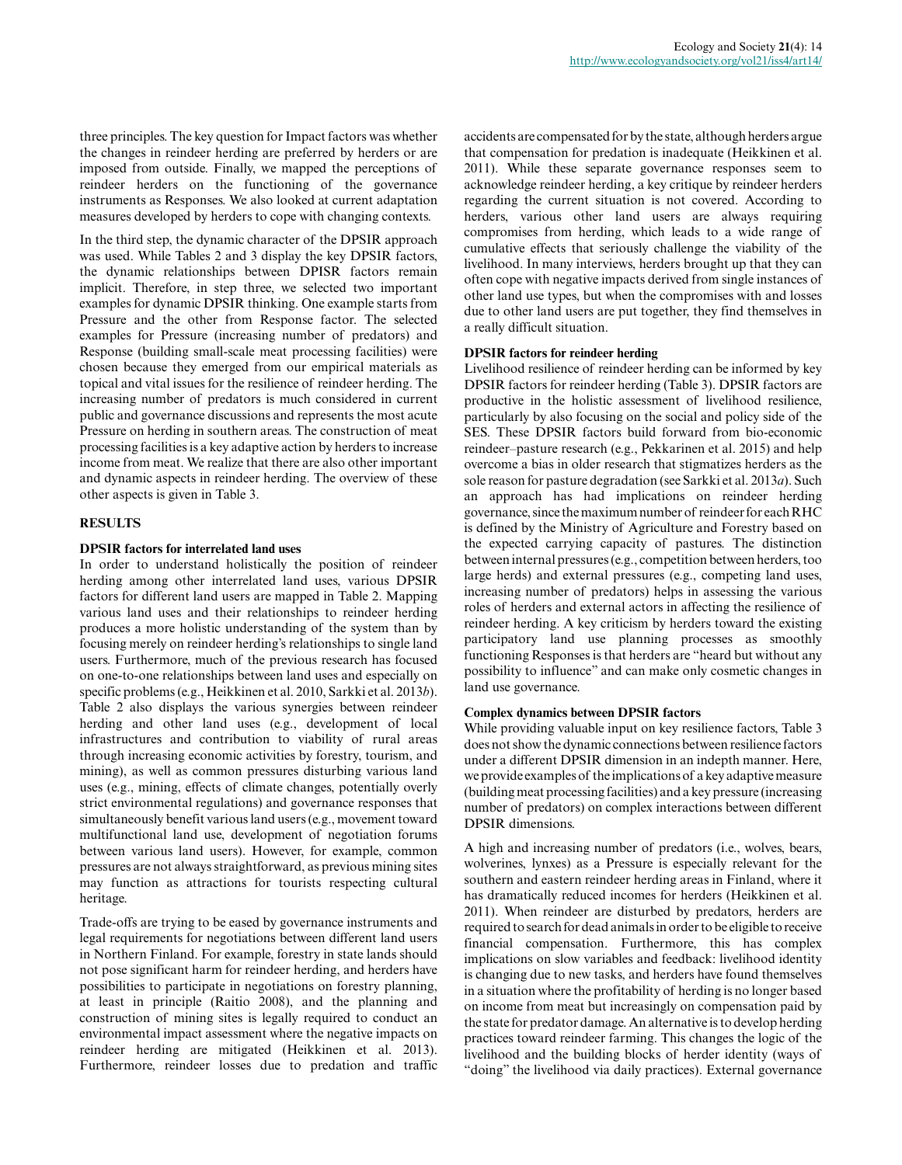three principles. The key question for Impact factors was whether the changes in reindeer herding are preferred by herders or are imposed from outside. Finally, we mapped the perceptions of reindeer herders on the functioning of the governance instruments as Responses. We also looked at current adaptation measures developed by herders to cope with changing contexts.

In the third step, the dynamic character of the DPSIR approach was used. While Tables 2 and 3 display the key DPSIR factors, the dynamic relationships between DPISR factors remain implicit. Therefore, in step three, we selected two important examples for dynamic DPSIR thinking. One example starts from Pressure and the other from Response factor. The selected examples for Pressure (increasing number of predators) and Response (building small-scale meat processing facilities) were chosen because they emerged from our empirical materials as topical and vital issues for the resilience of reindeer herding. The increasing number of predators is much considered in current public and governance discussions and represents the most acute Pressure on herding in southern areas. The construction of meat processing facilities is a key adaptive action by herders to increase income from meat. We realize that there are also other important and dynamic aspects in reindeer herding. The overview of these other aspects is given in Table 3.

#### **RESULTS**

#### **DPSIR factors for interrelated land uses**

In order to understand holistically the position of reindeer herding among other interrelated land uses, various DPSIR factors for different land users are mapped in Table 2. Mapping various land uses and their relationships to reindeer herding produces a more holistic understanding of the system than by focusing merely on reindeer herding's relationships to single land users. Furthermore, much of the previous research has focused on one-to-one relationships between land uses and especially on specific problems (e.g., Heikkinen et al. 2010, Sarkki et al. 2013*b*). Table 2 also displays the various synergies between reindeer herding and other land uses (e.g., development of local infrastructures and contribution to viability of rural areas through increasing economic activities by forestry, tourism, and mining), as well as common pressures disturbing various land uses (e.g., mining, effects of climate changes, potentially overly strict environmental regulations) and governance responses that simultaneously benefit various land users (e.g., movement toward multifunctional land use, development of negotiation forums between various land users). However, for example, common pressures are not always straightforward, as previous mining sites may function as attractions for tourists respecting cultural heritage.

Trade-offs are trying to be eased by governance instruments and legal requirements for negotiations between different land users in Northern Finland. For example, forestry in state lands should not pose significant harm for reindeer herding, and herders have possibilities to participate in negotiations on forestry planning, at least in principle (Raitio 2008), and the planning and construction of mining sites is legally required to conduct an environmental impact assessment where the negative impacts on reindeer herding are mitigated (Heikkinen et al. 2013). Furthermore, reindeer losses due to predation and traffic

accidents are compensated for by the state, although herders argue that compensation for predation is inadequate (Heikkinen et al. 2011). While these separate governance responses seem to acknowledge reindeer herding, a key critique by reindeer herders regarding the current situation is not covered. According to herders, various other land users are always requiring compromises from herding, which leads to a wide range of cumulative effects that seriously challenge the viability of the livelihood. In many interviews, herders brought up that they can often cope with negative impacts derived from single instances of other land use types, but when the compromises with and losses due to other land users are put together, they find themselves in a really difficult situation.

#### **DPSIR factors for reindeer herding**

Livelihood resilience of reindeer herding can be informed by key DPSIR factors for reindeer herding (Table 3). DPSIR factors are productive in the holistic assessment of livelihood resilience, particularly by also focusing on the social and policy side of the SES. These DPSIR factors build forward from bio-economic reindeer–pasture research (e.g., Pekkarinen et al. 2015) and help overcome a bias in older research that stigmatizes herders as the sole reason for pasture degradation (see Sarkki et al. 2013*a*). Such an approach has had implications on reindeer herding governance, since the maximum number of reindeer for each RHC is defined by the Ministry of Agriculture and Forestry based on the expected carrying capacity of pastures. The distinction between internal pressures (e.g., competition between herders, too large herds) and external pressures (e.g., competing land uses, increasing number of predators) helps in assessing the various roles of herders and external actors in affecting the resilience of reindeer herding. A key criticism by herders toward the existing participatory land use planning processes as smoothly functioning Responses is that herders are "heard but without any possibility to influence" and can make only cosmetic changes in land use governance.

#### **Complex dynamics between DPSIR factors**

While providing valuable input on key resilience factors, Table 3 does not show the dynamic connections between resilience factors under a different DPSIR dimension in an indepth manner. Here, we provide examples of the implications of a key adaptive measure (building meat processing facilities) and a key pressure (increasing number of predators) on complex interactions between different DPSIR dimensions.

A high and increasing number of predators (i.e., wolves, bears, wolverines, lynxes) as a Pressure is especially relevant for the southern and eastern reindeer herding areas in Finland, where it has dramatically reduced incomes for herders (Heikkinen et al. 2011). When reindeer are disturbed by predators, herders are required to search for dead animals in order to be eligible to receive financial compensation. Furthermore, this has complex implications on slow variables and feedback: livelihood identity is changing due to new tasks, and herders have found themselves in a situation where the profitability of herding is no longer based on income from meat but increasingly on compensation paid by the state for predator damage. An alternative is to develop herding practices toward reindeer farming. This changes the logic of the livelihood and the building blocks of herder identity (ways of "doing" the livelihood via daily practices). External governance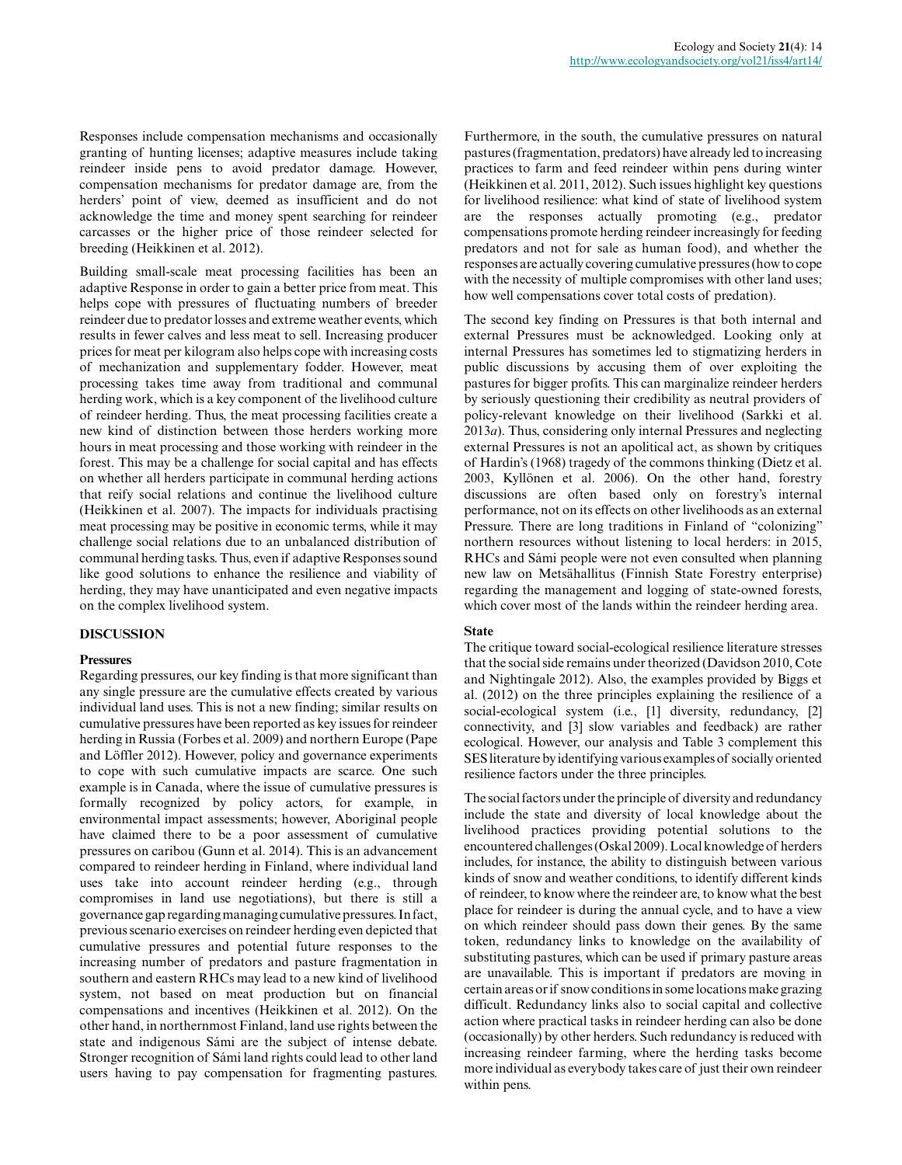Responses include compensation mechanisms and occasionally granting of hunting licenses; adaptive measures include taking reindeer inside pens to avoid predator damage. However, compensation mechanisms for predator damage are, from the herders' point of view, deemed as insufficient and do not acknowledge the time and money spent searching for reindeer carcasses or the higher price of those reindeer selected for breeding (Heikkinen et al. 2012).

Building small-scale meat processing facilities has been an adaptive Response in order to gain a better price from meat. This helps cope with pressures of fluctuating numbers of breeder reindeer due to predator losses and extreme weather events, which results in fewer calves and less meat to sell. Increasing producer prices for meat per kilogram also helps cope with increasing costs of mechanization and supplementary fodder. However, meat processing takes time away from traditional and communal herding work, which is a key component of the livelihood culture of reindeer herding. Thus, the meat processing facilities create a new kind of distinction between those herders working more hours in meat processing and those working with reindeer in the forest. This may be a challenge for social capital and has effects on whether all herders participate in communal herding actions that reify social relations and continue the livelihood culture (Heikkinen et al. 2007). The impacts for individuals practising meat processing may be positive in economic terms, while it may challenge social relations due to an unbalanced distribution of communal herding tasks. Thus, even if adaptive Responses sound like good solutions to enhance the resilience and viability of herding, they may have unanticipated and even negative impacts on the complex livelihood system.

## **DISCUSSION**

#### **Pressures**

Regarding pressures, our key finding is that more significant than any single pressure are the cumulative effects created by various individual land uses. This is not a new finding; similar results on cumulative pressures have been reported as key issues for reindeer herding in Russia (Forbes et al. 2009) and northern Europe (Pape and Löffler 2012). However, policy and governance experiments to cope with such cumulative impacts are scarce. One such example is in Canada, where the issue of cumulative pressures is formally recognized by policy actors, for example, in environmental impact assessments; however, Aboriginal people have claimed there to be a poor assessment of cumulative pressures on caribou (Gunn et al. 2014). This is an advancement compared to reindeer herding in Finland, where individual land uses take into account reindeer herding (e.g., through compromises in land use negotiations), but there is still a governance gap regarding managing cumulative pressures. In fact, previous scenario exercises on reindeer herding even depicted that cumulative pressures and potential future responses to the increasing number of predators and pasture fragmentation in southern and eastern RHCs may lead to a new kind of livelihood system, not based on meat production but on financial compensations and incentives (Heikkinen et al. 2012). On the other hand, in northernmost Finland, land use rights between the state and indigenous Sámi are the subject of intense debate. Stronger recognition of Sámi land rights could lead to other land users having to pay compensation for fragmenting pastures.

Furthermore, in the south, the cumulative pressures on natural pastures (fragmentation, predators) have already led to increasing practices to farm and feed reindeer within pens during winter (Heikkinen et al. 2011, 2012). Such issues highlight key questions for livelihood resilience: what kind of state of livelihood system are the responses actually promoting (e.g., predator compensations promote herding reindeer increasingly for feeding predators and not for sale as human food), and whether the responses are actually covering cumulative pressures (how to cope with the necessity of multiple compromises with other land uses; how well compensations cover total costs of predation).

The second key finding on Pressures is that both internal and external Pressures must be acknowledged. Looking only at internal Pressures has sometimes led to stigmatizing herders in public discussions by accusing them of over exploiting the pastures for bigger profits. This can marginalize reindeer herders by seriously questioning their credibility as neutral providers of policy-relevant knowledge on their livelihood (Sarkki et al. 2013*a*). Thus, considering only internal Pressures and neglecting external Pressures is not an apolitical act, as shown by critiques of Hardin's (1968) tragedy of the commons thinking (Dietz et al. 2003, Kyllönen et al. 2006). On the other hand, forestry discussions are often based only on forestry's internal performance, not on its effects on other livelihoods as an external Pressure. There are long traditions in Finland of "colonizing" northern resources without listening to local herders: in 2015, RHCs and Sámi people were not even consulted when planning new law on Metsähallitus (Finnish State Forestry enterprise) regarding the management and logging of state-owned forests, which cover most of the lands within the reindeer herding area.

#### **State**

The critique toward social-ecological resilience literature stresses that the social side remains under theorized (Davidson 2010, Cote and Nightingale 2012). Also, the examples provided by Biggs et al. (2012) on the three principles explaining the resilience of a social-ecological system (i.e., [1] diversity, redundancy, [2] connectivity, and [3] slow variables and feedback) are rather ecological. However, our analysis and Table 3 complement this SES literature by identifying various examples of socially oriented resilience factors under the three principles.

The social factors under the principle of diversity and redundancy include the state and diversity of local knowledge about the livelihood practices providing potential solutions to the encountered challenges (Oskal 2009). Local knowledge of herders includes, for instance, the ability to distinguish between various kinds of snow and weather conditions, to identify different kinds of reindeer, to know where the reindeer are, to know what the best place for reindeer is during the annual cycle, and to have a view on which reindeer should pass down their genes. By the same token, redundancy links to knowledge on the availability of substituting pastures, which can be used if primary pasture areas are unavailable. This is important if predators are moving in certain areas or if snow conditions in some locations make grazing difficult. Redundancy links also to social capital and collective action where practical tasks in reindeer herding can also be done (occasionally) by other herders. Such redundancy is reduced with increasing reindeer farming, where the herding tasks become more individual as everybody takes care of just their own reindeer within pens.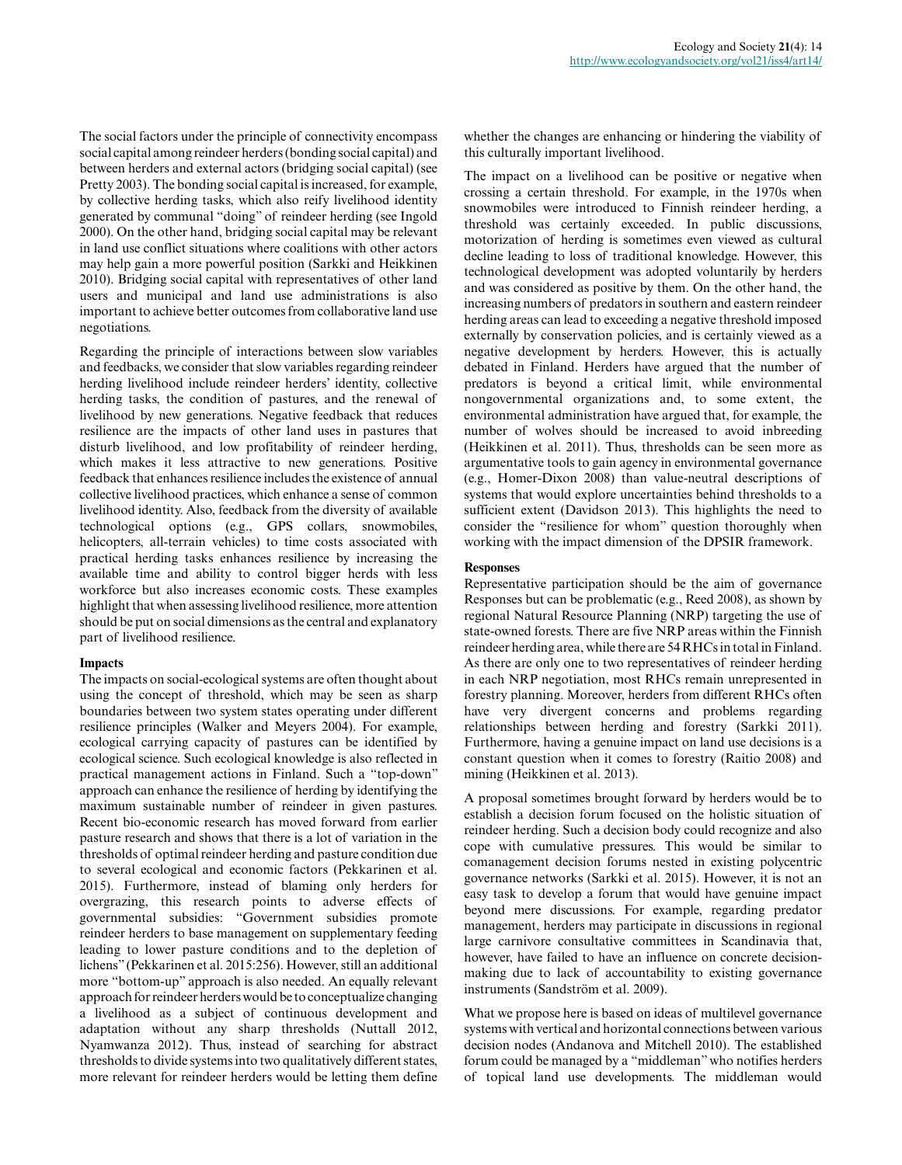The social factors under the principle of connectivity encompass social capital among reindeer herders (bonding social capital) and between herders and external actors (bridging social capital) (see Pretty 2003). The bonding social capital is increased, for example, by collective herding tasks, which also reify livelihood identity generated by communal "doing" of reindeer herding (see Ingold 2000). On the other hand, bridging social capital may be relevant in land use conflict situations where coalitions with other actors may help gain a more powerful position (Sarkki and Heikkinen 2010). Bridging social capital with representatives of other land users and municipal and land use administrations is also important to achieve better outcomes from collaborative land use negotiations.

Regarding the principle of interactions between slow variables and feedbacks, we consider that slow variables regarding reindeer herding livelihood include reindeer herders' identity, collective herding tasks, the condition of pastures, and the renewal of livelihood by new generations. Negative feedback that reduces resilience are the impacts of other land uses in pastures that disturb livelihood, and low profitability of reindeer herding, which makes it less attractive to new generations. Positive feedback that enhances resilience includes the existence of annual collective livelihood practices, which enhance a sense of common livelihood identity. Also, feedback from the diversity of available technological options (e.g., GPS collars, snowmobiles, helicopters, all-terrain vehicles) to time costs associated with practical herding tasks enhances resilience by increasing the available time and ability to control bigger herds with less workforce but also increases economic costs. These examples highlight that when assessing livelihood resilience, more attention should be put on social dimensions as the central and explanatory part of livelihood resilience.

#### **Impacts**

The impacts on social-ecological systems are often thought about using the concept of threshold, which may be seen as sharp boundaries between two system states operating under different resilience principles (Walker and Meyers 2004). For example, ecological carrying capacity of pastures can be identified by ecological science. Such ecological knowledge is also reflected in practical management actions in Finland. Such a "top-down" approach can enhance the resilience of herding by identifying the maximum sustainable number of reindeer in given pastures. Recent bio-economic research has moved forward from earlier pasture research and shows that there is a lot of variation in the thresholds of optimal reindeer herding and pasture condition due to several ecological and economic factors (Pekkarinen et al. 2015). Furthermore, instead of blaming only herders for overgrazing, this research points to adverse effects of governmental subsidies: "Government subsidies promote reindeer herders to base management on supplementary feeding leading to lower pasture conditions and to the depletion of lichens" (Pekkarinen et al. 2015:256). However, still an additional more "bottom-up" approach is also needed. An equally relevant approach for reindeer herders would be to conceptualize changing a livelihood as a subject of continuous development and adaptation without any sharp thresholds (Nuttall 2012, Nyamwanza 2012). Thus, instead of searching for abstract thresholds to divide systems into two qualitatively different states, more relevant for reindeer herders would be letting them define

whether the changes are enhancing or hindering the viability of this culturally important livelihood.

The impact on a livelihood can be positive or negative when crossing a certain threshold. For example, in the 1970s when snowmobiles were introduced to Finnish reindeer herding, a threshold was certainly exceeded. In public discussions, motorization of herding is sometimes even viewed as cultural decline leading to loss of traditional knowledge. However, this technological development was adopted voluntarily by herders and was considered as positive by them. On the other hand, the increasing numbers of predators in southern and eastern reindeer herding areas can lead to exceeding a negative threshold imposed externally by conservation policies, and is certainly viewed as a negative development by herders. However, this is actually debated in Finland. Herders have argued that the number of predators is beyond a critical limit, while environmental nongovernmental organizations and, to some extent, the environmental administration have argued that, for example, the number of wolves should be increased to avoid inbreeding (Heikkinen et al. 2011). Thus, thresholds can be seen more as argumentative tools to gain agency in environmental governance (e.g., Homer-Dixon 2008) than value-neutral descriptions of systems that would explore uncertainties behind thresholds to a sufficient extent (Davidson 2013). This highlights the need to consider the "resilience for whom" question thoroughly when working with the impact dimension of the DPSIR framework.

#### **Responses**

Representative participation should be the aim of governance Responses but can be problematic (e.g., Reed 2008), as shown by regional Natural Resource Planning (NRP) targeting the use of state-owned forests. There are five NRP areas within the Finnish reindeer herding area, while there are 54 RHCs in total in Finland. As there are only one to two representatives of reindeer herding in each NRP negotiation, most RHCs remain unrepresented in forestry planning. Moreover, herders from different RHCs often have very divergent concerns and problems regarding relationships between herding and forestry (Sarkki 2011). Furthermore, having a genuine impact on land use decisions is a constant question when it comes to forestry (Raitio 2008) and mining (Heikkinen et al. 2013).

A proposal sometimes brought forward by herders would be to establish a decision forum focused on the holistic situation of reindeer herding. Such a decision body could recognize and also cope with cumulative pressures. This would be similar to comanagement decision forums nested in existing polycentric governance networks (Sarkki et al. 2015). However, it is not an easy task to develop a forum that would have genuine impact beyond mere discussions. For example, regarding predator management, herders may participate in discussions in regional large carnivore consultative committees in Scandinavia that, however, have failed to have an influence on concrete decisionmaking due to lack of accountability to existing governance instruments (Sandström et al. 2009).

What we propose here is based on ideas of multilevel governance systems with vertical and horizontal connections between various decision nodes (Andanova and Mitchell 2010). The established forum could be managed by a "middleman" who notifies herders of topical land use developments. The middleman would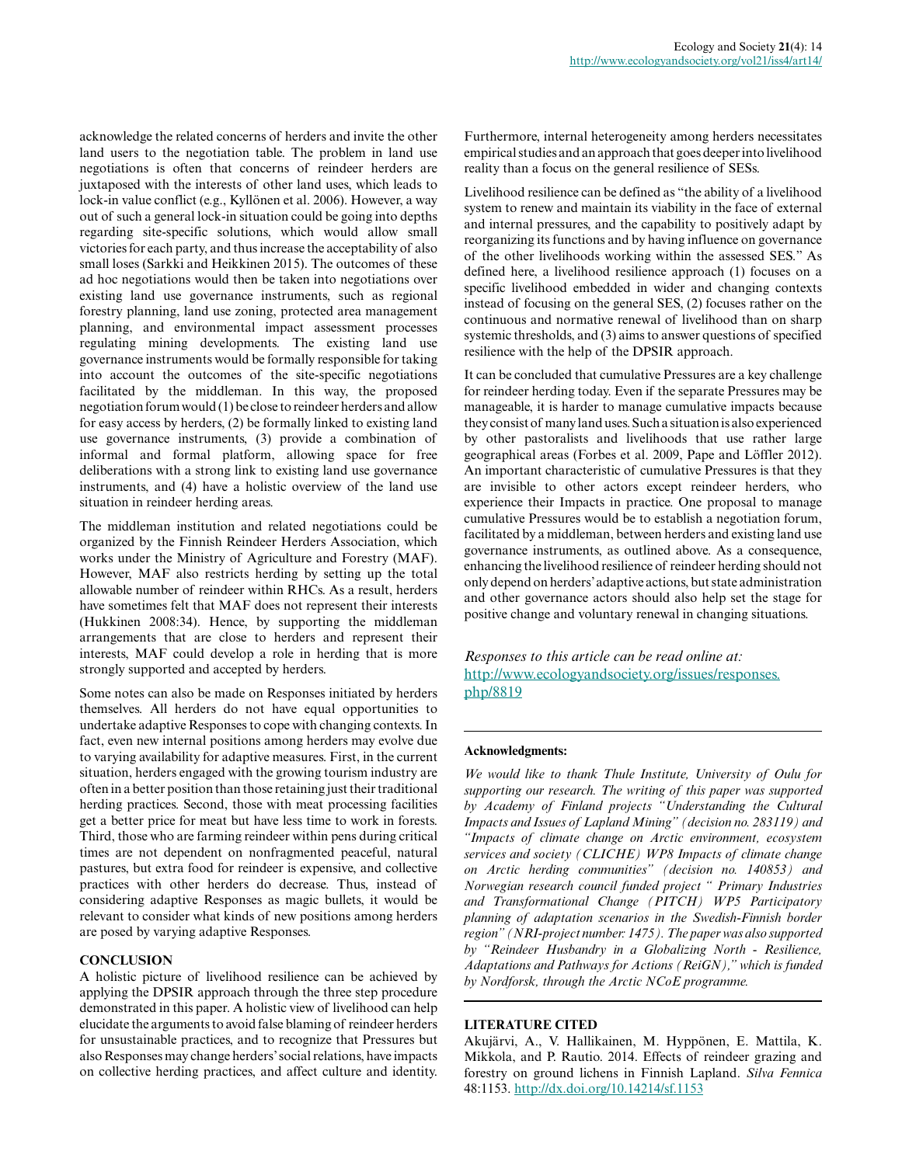acknowledge the related concerns of herders and invite the other land users to the negotiation table. The problem in land use negotiations is often that concerns of reindeer herders are juxtaposed with the interests of other land uses, which leads to lock-in value conflict (e.g., Kyllönen et al. 2006). However, a way out of such a general lock-in situation could be going into depths regarding site-specific solutions, which would allow small victories for each party, and thus increase the acceptability of also small loses (Sarkki and Heikkinen 2015). The outcomes of these ad hoc negotiations would then be taken into negotiations over existing land use governance instruments, such as regional forestry planning, land use zoning, protected area management planning, and environmental impact assessment processes regulating mining developments. The existing land use governance instruments would be formally responsible for taking into account the outcomes of the site-specific negotiations facilitated by the middleman. In this way, the proposed negotiation forum would (1) be close to reindeer herders and allow for easy access by herders, (2) be formally linked to existing land use governance instruments, (3) provide a combination of informal and formal platform, allowing space for free deliberations with a strong link to existing land use governance instruments, and (4) have a holistic overview of the land use situation in reindeer herding areas.

The middleman institution and related negotiations could be organized by the Finnish Reindeer Herders Association, which works under the Ministry of Agriculture and Forestry (MAF). However, MAF also restricts herding by setting up the total allowable number of reindeer within RHCs. As a result, herders have sometimes felt that MAF does not represent their interests (Hukkinen 2008:34). Hence, by supporting the middleman arrangements that are close to herders and represent their interests, MAF could develop a role in herding that is more strongly supported and accepted by herders.

Some notes can also be made on Responses initiated by herders themselves. All herders do not have equal opportunities to undertake adaptive Responses to cope with changing contexts. In fact, even new internal positions among herders may evolve due to varying availability for adaptive measures. First, in the current situation, herders engaged with the growing tourism industry are often in a better position than those retaining just their traditional herding practices. Second, those with meat processing facilities get a better price for meat but have less time to work in forests. Third, those who are farming reindeer within pens during critical times are not dependent on nonfragmented peaceful, natural pastures, but extra food for reindeer is expensive, and collective practices with other herders do decrease. Thus, instead of considering adaptive Responses as magic bullets, it would be relevant to consider what kinds of new positions among herders are posed by varying adaptive Responses.

#### **CONCLUSION**

A holistic picture of livelihood resilience can be achieved by applying the DPSIR approach through the three step procedure demonstrated in this paper. A holistic view of livelihood can help elucidate the arguments to avoid false blaming of reindeer herders for unsustainable practices, and to recognize that Pressures but also Responses may change herders' social relations, have impacts on collective herding practices, and affect culture and identity.

Furthermore, internal heterogeneity among herders necessitates empirical studies and an approach that goes deeper into livelihood reality than a focus on the general resilience of SESs.

Livelihood resilience can be defined as "the ability of a livelihood system to renew and maintain its viability in the face of external and internal pressures, and the capability to positively adapt by reorganizing its functions and by having influence on governance of the other livelihoods working within the assessed SES." As defined here, a livelihood resilience approach (1) focuses on a specific livelihood embedded in wider and changing contexts instead of focusing on the general SES, (2) focuses rather on the continuous and normative renewal of livelihood than on sharp systemic thresholds, and (3) aims to answer questions of specified resilience with the help of the DPSIR approach.

It can be concluded that cumulative Pressures are a key challenge for reindeer herding today. Even if the separate Pressures may be manageable, it is harder to manage cumulative impacts because they consist of many land uses. Such a situation is also experienced by other pastoralists and livelihoods that use rather large geographical areas (Forbes et al. 2009, Pape and Löffler 2012). An important characteristic of cumulative Pressures is that they are invisible to other actors except reindeer herders, who experience their Impacts in practice. One proposal to manage cumulative Pressures would be to establish a negotiation forum, facilitated by a middleman, between herders and existing land use governance instruments, as outlined above. As a consequence, enhancing the livelihood resilience of reindeer herding should not only depend on herders' adaptive actions, but state administration and other governance actors should also help set the stage for positive change and voluntary renewal in changing situations.

*Responses to this article can be read online at:* [http://www.ecologyandsociety.org/issues/responses.](http://www.ecologyandsociety.org/issues/responses.php/8819) [php/8819](http://www.ecologyandsociety.org/issues/responses.php/8819)

#### **Acknowledgments:**

*We would like to thank Thule Institute, University of Oulu for supporting our research. The writing of this paper was supported by Academy of Finland projects "Understanding the Cultural Impacts and Issues of Lapland Mining" (decision no. 283119) and "Impacts of climate change on Arctic environment, ecosystem services and society (CLICHE) WP8 Impacts of climate change on Arctic herding communities" (decision no. 140853) and Norwegian research council funded project " Primary Industries and Transformational Change (PITCH) WP5 Participatory planning of adaptation scenarios in the Swedish-Finnish border region" (NRI-project number: 1475). The paper was also supported by "Reindeer Husbandry in a Globalizing North - Resilience, Adaptations and Pathways for Actions (ReiGN)," which is funded by Nordforsk, through the Arctic NCoE programme.*

#### **LITERATURE CITED**

Akujärvi, A., V. Hallikainen, M. Hyppönen, E. Mattila, K. Mikkola, and P. Rautio. 2014. Effects of reindeer grazing and forestry on ground lichens in Finnish Lapland. *Silva Fennica* 48:1153. [http://dx.doi.org/10.14214/sf.1153](http://dx.doi.org/10.14214%2Fsf.1153)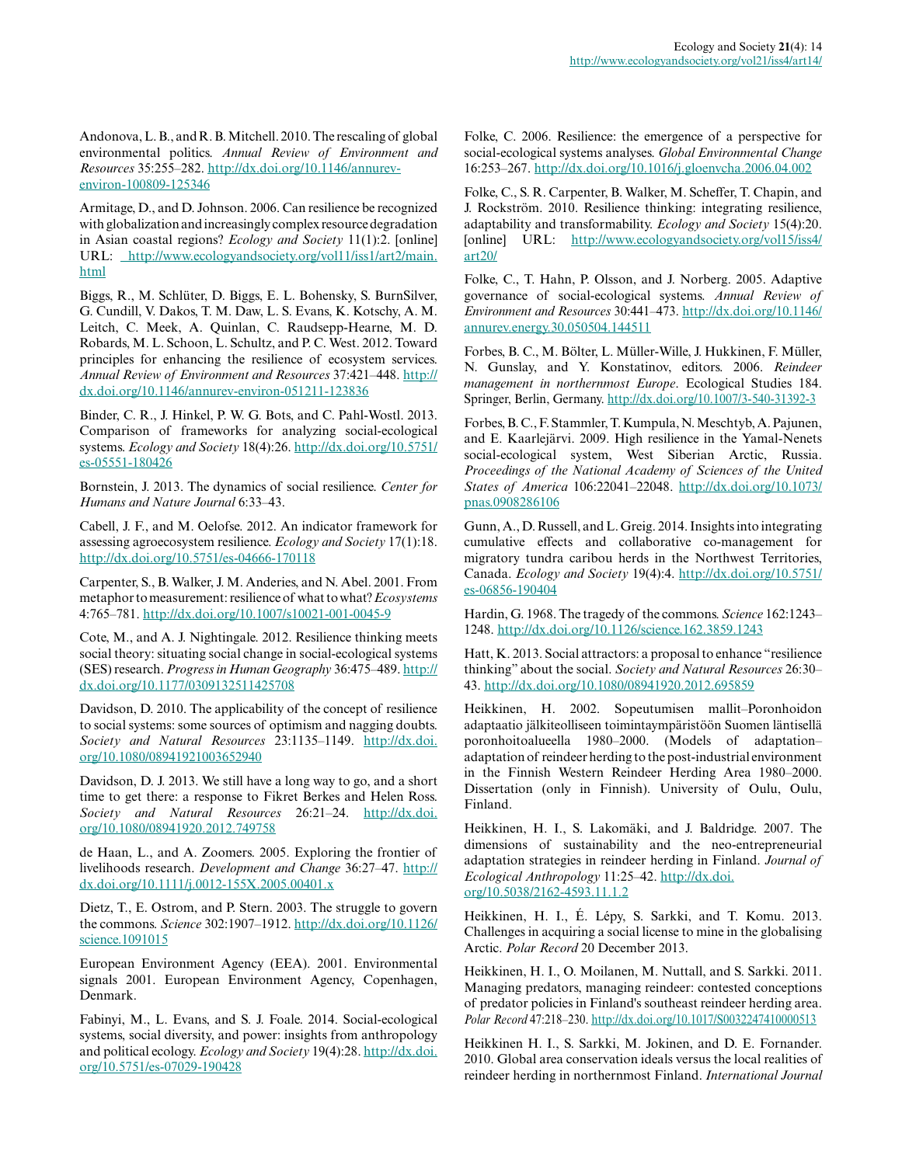Andonova, L. B., and R. B. Mitchell. 2010. The rescaling of global environmental politics. *Annual Review of Environment and Resources* 35:255–282. [http://dx.doi.org/10.1146/annurev](http://dx.doi.org/10.1146%2Fannurev-environ-100809-125346)[environ-100809-125346](http://dx.doi.org/10.1146%2Fannurev-environ-100809-125346) 

Armitage, D., and D. Johnson. 2006. Can resilience be recognized with globalization and increasingly complex resource degradation in Asian coastal regions? *Ecology and Society* 11(1):2. [online] URL: [http://www.ecologyandsociety.org/vol11/iss1/art2/main.](http://www.ecologyandsociety.org/vol11/iss1/art2/main.html) [html](http://www.ecologyandsociety.org/vol11/iss1/art2/main.html) 

Biggs, R., M. Schlüter, D. Biggs, E. L. Bohensky, S. BurnSilver, G. Cundill, V. Dakos, T. M. Daw, L. S. Evans, K. Kotschy, A. M. Leitch, C. Meek, A. Quinlan, C. Raudsepp-Hearne, M. D. Robards, M. L. Schoon, L. Schultz, and P. C. West. 2012. Toward principles for enhancing the resilience of ecosystem services. *Annual Review of Environment and Resources* 37:421–448. [http://](http://dx.doi.org/10.1146%2Fannurev-environ-051211-123836) [dx.doi.org/10.1146/annurev-environ-051211-123836](http://dx.doi.org/10.1146%2Fannurev-environ-051211-123836)

Binder, C. R., J. Hinkel, P. W. G. Bots, and C. Pahl-Wostl. 2013. Comparison of frameworks for analyzing social-ecological systems. *Ecology and Society* 18(4):26. [http://dx.doi.org/10.5751/](http://dx.doi.org/10.5751%2Fes-05551-180426) [es-05551-180426](http://dx.doi.org/10.5751%2Fes-05551-180426) 

Bornstein, J. 2013. The dynamics of social resilience. *Center for Humans and Nature Journal* 6:33–43.

Cabell, J. F., and M. Oelofse. 2012. An indicator framework for assessing agroecosystem resilience. *Ecology and Society* 17(1):18. [http://dx.doi.org/10.5751/es-04666-170118](http://dx.doi.org/10.5751%2Fes-04666-170118)

Carpenter, S., B. Walker, J. M. Anderies, and N. Abel. 2001. From metaphor to measurement: resilience of what to what? *Ecosystems* 4:765–781. [http://dx.doi.org/10.1007/s10021-001-0045-9](http://dx.doi.org/10.1007%2Fs10021-001-0045-9)

Cote, M., and A. J. Nightingale. 2012. Resilience thinking meets social theory: situating social change in social-ecological systems (SES) research. *Progress in Human Geography* 36:475–489. [http://](http://dx.doi.org/10.1177%2F0309132511425708) [dx.doi.org/10.1177/0309132511425708](http://dx.doi.org/10.1177%2F0309132511425708) 

Davidson, D. 2010. The applicability of the concept of resilience to social systems: some sources of optimism and nagging doubts. *Society and Natural Resources* 23:1135–1149. [http://dx.doi.](http://dx.doi.org/10.1080%2F08941921003652940) [org/10.1080/08941921003652940](http://dx.doi.org/10.1080%2F08941921003652940) 

Davidson, D. J. 2013. We still have a long way to go, and a short time to get there: a response to Fikret Berkes and Helen Ross. *Society and Natural Resources* 26:21–24. [http://dx.doi.](http://dx.doi.org/10.1080%2F08941920.2012.749758) [org/10.1080/08941920.2012.749758](http://dx.doi.org/10.1080%2F08941920.2012.749758)

de Haan, L., and A. Zoomers. 2005. Exploring the frontier of livelihoods research. *Development and Change* 36:27–47. [http://](http://dx.doi.org/10.1111%2Fj.0012-155X.2005.00401.x) [dx.doi.org/10.1111/j.0012-155X.2005.00401.x](http://dx.doi.org/10.1111%2Fj.0012-155X.2005.00401.x) 

Dietz, T., E. Ostrom, and P. Stern. 2003. The struggle to govern the commons. *Science* 302:1907–1912. [http://dx.doi.org/10.1126/](http://dx.doi.org/10.1126%2Fscience.1091015) [science.1091015](http://dx.doi.org/10.1126%2Fscience.1091015)

European Environment Agency (EEA). 2001. Environmental signals 2001. European Environment Agency, Copenhagen, Denmark.

Fabinyi, M., L. Evans, and S. J. Foale. 2014. Social-ecological systems, social diversity, and power: insights from anthropology and political ecology. *Ecology and Society* 19(4):28. [http://dx.doi.](http://dx.doi.org/10.5751%2Fes-07029-190428) [org/10.5751/es-07029-190428](http://dx.doi.org/10.5751%2Fes-07029-190428)

Folke, C. 2006. Resilience: the emergence of a perspective for social-ecological systems analyses. *Global Environmental Change* 16:253–267. [http://dx.doi.org/10.1016/j.gloenvcha.2006.04.002](http://dx.doi.org/10.1016%2Fj.gloenvcha.2006.04.002) 

Folke, C., S. R. Carpenter, B. Walker, M. Scheffer, T. Chapin, and J. Rockström. 2010. Resilience thinking: integrating resilience, adaptability and transformability. *Ecology and Society* 15(4):20. [online] URL: [http://www.ecologyandsociety.org/vol15/iss4/](http://www.ecologyandsociety.org/vol15/iss4/art20/) [art20/](http://www.ecologyandsociety.org/vol15/iss4/art20/)

Folke, C., T. Hahn, P. Olsson, and J. Norberg. 2005. Adaptive governance of social-ecological systems. *Annual Review of Environment and Resources* 30:441–473. [http://dx.doi.org/10.1146/](http://dx.doi.org/10.1146%2Fannurev.energy.30.050504.144511) [annurev.energy.30.050504.144511](http://dx.doi.org/10.1146%2Fannurev.energy.30.050504.144511) 

Forbes, B. C., M. Bölter, L. Müller-Wille, J. Hukkinen, F. Müller, N. Gunslay, and Y. Konstatinov, editors. 2006. *Reindeer management in northernmost Europe*. Ecological Studies 184. Springer, Berlin, Germany. [http://dx.doi.org/10.1007/3-540-31392-3](http://dx.doi.org/10.1007%2F3-540-31392-3) 

Forbes, B. C., F. Stammler, T. Kumpula, N. Meschtyb, A. Pajunen, and E. Kaarlejärvi. 2009. High resilience in the Yamal-Nenets social-ecological system, West Siberian Arctic, Russia. *Proceedings of the National Academy of Sciences of the United States of America* 106:22041–22048. [http://dx.doi.org/10.1073/](http://dx.doi.org/10.1073%2Fpnas.0908286106) [pnas.0908286106](http://dx.doi.org/10.1073%2Fpnas.0908286106) 

Gunn, A., D. Russell, and L. Greig. 2014. Insights into integrating cumulative effects and collaborative co-management for migratory tundra caribou herds in the Northwest Territories, Canada. *Ecology and Society* 19(4):4. [http://dx.doi.org/10.5751/](http://dx.doi.org/10.5751%2Fes-06856-190404) [es-06856-190404](http://dx.doi.org/10.5751%2Fes-06856-190404) 

Hardin, G. 1968. The tragedy of the commons. *Science* 162:1243– 1248. [http://dx.doi.org/10.1126/science.162.3859.1243](http://dx.doi.org/10.1126%2Fscience.162.3859.1243) 

Hatt, K. 2013. Social attractors: a proposal to enhance "resilience thinking" about the social. *Society and Natural Resources* 26:30– 43. [http://dx.doi.org/10.1080/08941920.2012.695859](http://dx.doi.org/10.1080%2F08941920.2012.695859) 

Heikkinen, H. 2002. Sopeutumisen mallit–Poronhoidon adaptaatio jälkiteolliseen toimintaympäristöön Suomen läntisellä poronhoitoalueella 1980–2000. (Models of adaptation– adaptation of reindeer herding to the post-industrial environment in the Finnish Western Reindeer Herding Area 1980–2000. Dissertation (only in Finnish). University of Oulu, Oulu, Finland.

Heikkinen, H. I., S. Lakomäki, and J. Baldridge. 2007. The dimensions of sustainability and the neo-entrepreneurial adaptation strategies in reindeer herding in Finland. *Journal of Ecological Anthropology* 11:25–42. [http://dx.doi.](http://dx.doi.org/10.5038%2F2162-4593.11.1.2) [org/10.5038/2162-4593.11.1.2](http://dx.doi.org/10.5038%2F2162-4593.11.1.2) 

Heikkinen, H. I., É. Lépy, S. Sarkki, and T. Komu. 2013. Challenges in acquiring a social license to mine in the globalising Arctic. *Polar Record* 20 December 2013.

Heikkinen, H. I., O. Moilanen, M. Nuttall, and S. Sarkki. 2011. Managing predators, managing reindeer: contested conceptions of predator policies in Finland's southeast reindeer herding area. *Polar Record* 47:218–230. [http://dx.doi.org/10.1017/S0032247410000513](http://dx.doi.org/10.1017%2FS0032247410000513)

Heikkinen H. I., S. Sarkki, M. Jokinen, and D. E. Fornander. 2010. Global area conservation ideals versus the local realities of reindeer herding in northernmost Finland. *International Journal*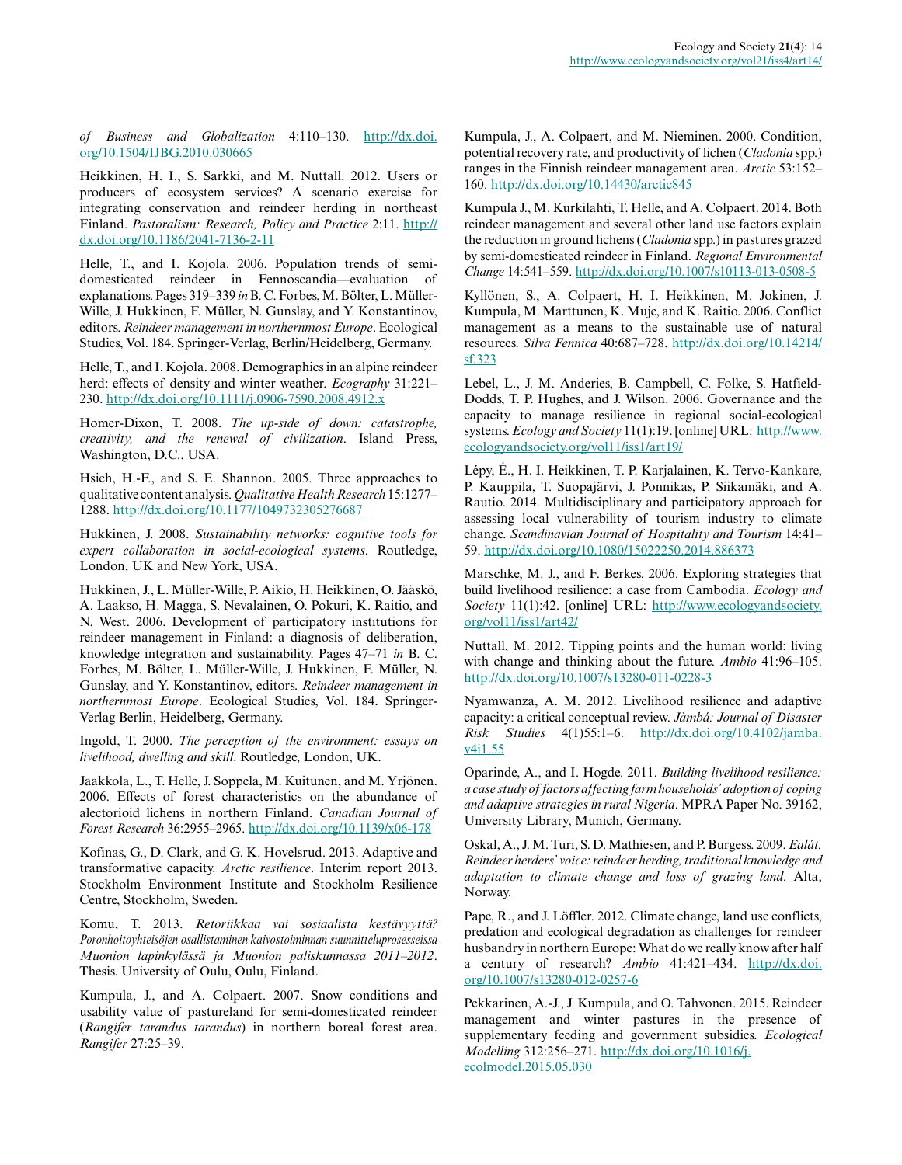*of Business and Globalization* 4:110–130. [http://dx.doi.](http://dx.doi.org/10.1504%2FIJBG.2010.030665) [org/10.1504/IJBG.2010.030665](http://dx.doi.org/10.1504%2FIJBG.2010.030665)

Heikkinen, H. I., S. Sarkki, and M. Nuttall. 2012. Users or producers of ecosystem services? A scenario exercise for integrating conservation and reindeer herding in northeast Finland. *Pastoralism: Research, Policy and Practice* 2:11. [http://](http://dx.doi.org/10.1186%2F2041-7136-2-11) [dx.doi.org/10.1186/2041-7136-2-11](http://dx.doi.org/10.1186%2F2041-7136-2-11)

Helle, T., and I. Kojola. 2006. Population trends of semidomesticated reindeer in Fennoscandia—evaluation of explanations. Pages 319–339 *in* B. C. Forbes, M. Bölter, L. Müller-Wille, J. Hukkinen, F. Müller, N. Gunslay, and Y. Konstantinov, editors. *Reindeer management in northernmost Europe*. Ecological Studies, Vol. 184. Springer-Verlag, Berlin/Heidelberg, Germany.

Helle, T., and I. Kojola. 2008. Demographics in an alpine reindeer herd: effects of density and winter weather. *Ecography* 31:221– 230. [http://dx.doi.org/10.1111/j.0906-7590.2008.4912.x](http://dx.doi.org/10.1111%2Fj.0906-7590.2008.4912.x)

Homer-Dixon, T. 2008. *The up-side of down: catastrophe, creativity, and the renewal of civilization*. Island Press, Washington, D.C., USA.

Hsieh, H.-F., and S. E. Shannon. 2005. Three approaches to qualitative content analysis. *Qualitative Health Research* 15:1277– 1288. [http://dx.doi.org/10.1177/1049732305276687](http://dx.doi.org/10.1177%2F1049732305276687)

Hukkinen, J. 2008. *Sustainability networks: cognitive tools for expert collaboration in social-ecological systems*. Routledge, London, UK and New York, USA.

Hukkinen, J., L. Müller-Wille, P. Aikio, H. Heikkinen, O. Jääskö, A. Laakso, H. Magga, S. Nevalainen, O. Pokuri, K. Raitio, and N. West. 2006. Development of participatory institutions for reindeer management in Finland: a diagnosis of deliberation, knowledge integration and sustainability. Pages 47–71 *in* B. C. Forbes, M. Bölter, L. Müller-Wille, J. Hukkinen, F. Müller, N. Gunslay, and Y. Konstantinov, editors. *Reindeer management in northernmost Europe*. Ecological Studies, Vol. 184. Springer-Verlag Berlin, Heidelberg, Germany.

Ingold, T. 2000. *The perception of the environment: essays on livelihood, dwelling and skill*. Routledge, London, UK.

Jaakkola, L., T. Helle, J. Soppela, M. Kuitunen, and M. Yrjönen. 2006. Effects of forest characteristics on the abundance of alectorioid lichens in northern Finland. *Canadian Journal of Forest Research* 36:2955–2965. [http://dx.doi.org/10.1139/x06-178](http://dx.doi.org/10.1139%2Fx06-178) 

Kofinas, G., D. Clark, and G. K. Hovelsrud. 2013. Adaptive and transformative capacity. *Arctic resilience*. Interim report 2013. Stockholm Environment Institute and Stockholm Resilience Centre, Stockholm, Sweden.

Komu, T. 2013. *Retoriikkaa vai sosiaalista kestävyyttä? Poronhoitoyhteisöjen osallistaminen kaivostoiminnan suunnitteluprosesseissa Muonion lapinkylässä ja Muonion paliskunnassa 2011–2012*. Thesis. University of Oulu, Oulu, Finland.

Kumpula, J., and A. Colpaert. 2007. Snow conditions and usability value of pastureland for semi-domesticated reindeer (*Rangifer tarandus tarandus*) in northern boreal forest area. *Rangifer* 27:25–39.

Kumpula, J., A. Colpaert, and M. Nieminen. 2000. Condition, potential recovery rate, and productivity of lichen (*Cladonia* spp.) ranges in the Finnish reindeer management area. *Arctic* 53:152– 160. [http://dx.doi.org/10.14430/arctic845](http://dx.doi.org/10.14430%2Farctic845) 

Kumpula J., M. Kurkilahti, T. Helle, and A. Colpaert. 2014. Both reindeer management and several other land use factors explain the reduction in ground lichens (*Cladonia* spp.) in pastures grazed by semi-domesticated reindeer in Finland. *Regional Environmental Change* 14:541–559. [http://dx.doi.org/10.1007/s10113-013-0508-5](http://dx.doi.org/10.1007%2Fs10113-013-0508-5) 

Kyllönen, S., A. Colpaert, H. I. Heikkinen, M. Jokinen, J. Kumpula, M. Marttunen, K. Muje, and K. Raitio. 2006. Conflict management as a means to the sustainable use of natural resources. *Silva Fennica* 40:687–728. [http://dx.doi.org/10.14214/](http://dx.doi.org/10.14214%2Fsf.323) [sf.323](http://dx.doi.org/10.14214%2Fsf.323) 

Lebel, L., J. M. Anderies, B. Campbell, C. Folke, S. Hatfield-Dodds, T. P. Hughes, and J. Wilson. 2006. Governance and the capacity to manage resilience in regional social-ecological systems. *Ecology and Society* 11(1):19. [online] URL: [http://www.](http://www.ecologyandsociety.org/vol11/iss1/art19/) [ecologyandsociety.org/vol11/iss1/art19/](http://www.ecologyandsociety.org/vol11/iss1/art19/)

Lépy, É., H. I. Heikkinen, T. P. Karjalainen, K. Tervo-Kankare, P. Kauppila, T. Suopajärvi, J. Ponnikas, P. Siikamäki, and A. Rautio. 2014. Multidisciplinary and participatory approach for assessing local vulnerability of tourism industry to climate change. *Scandinavian Journal of Hospitality and Tourism* 14:41– 59. [http://dx.doi.org/10.1080/15022250.2014.886373](http://dx.doi.org/10.1080%2F15022250.2014.886373) 

Marschke, M. J., and F. Berkes. 2006. Exploring strategies that build livelihood resilience: a case from Cambodia. *Ecology and Society* 11(1):42. [online] URL: [http://www.ecologyandsociety.](http://www.ecologyandsociety.org/vol11/iss1/art42/) [org/vol11/iss1/art42/](http://www.ecologyandsociety.org/vol11/iss1/art42/)

Nuttall, M. 2012. Tipping points and the human world: living with change and thinking about the future. *Ambio* 41:96–105. [http://dx.doi.org/10.1007/s13280-011-0228-3](http://dx.doi.org/10.1007%2Fs13280-011-0228-3)

Nyamwanza, A. M. 2012. Livelihood resilience and adaptive capacity: a critical conceptual review. *Jàmbá: Journal of Disaster Risk Studies* 4(1)55:1–6. [http://dx.doi.org/10.4102/jamba.](http://dx.doi.org/10.4102%2Fjamba.v4i1.55) [v4i1.55](http://dx.doi.org/10.4102%2Fjamba.v4i1.55)

Oparinde, A., and I. Hogde. 2011. *Building livelihood resilience: a case study of factors affecting farm households' adoption of coping and adaptive strategies in rural Nigeria*. MPRA Paper No. 39162, University Library, Munich, Germany.

Oskal, A., J. M. Turi, S. D. Mathiesen, and P. Burgess. 2009. *Ealát. Reindeer herders' voice: reindeer herding, traditional knowledge and adaptation to climate change and loss of grazing land*. Alta, Norway.

Pape, R., and J. Löffler. 2012. Climate change, land use conflicts, predation and ecological degradation as challenges for reindeer husbandry in northern Europe: What do we really know after half a century of research? *Ambio* 41:421–434. [http://dx.doi.](http://dx.doi.org/10.1007%2Fs13280-012-0257-6) [org/10.1007/s13280-012-0257-6](http://dx.doi.org/10.1007%2Fs13280-012-0257-6)

Pekkarinen, A.-J., J. Kumpula, and O. Tahvonen. 2015. Reindeer management and winter pastures in the presence of supplementary feeding and government subsidies. *Ecological Modelling* 312:256–271. [http://dx.doi.org/10.1016/j.](http://dx.doi.org/10.1016%2Fj.ecolmodel.2015.05.030) [ecolmodel.2015.05.030](http://dx.doi.org/10.1016%2Fj.ecolmodel.2015.05.030)